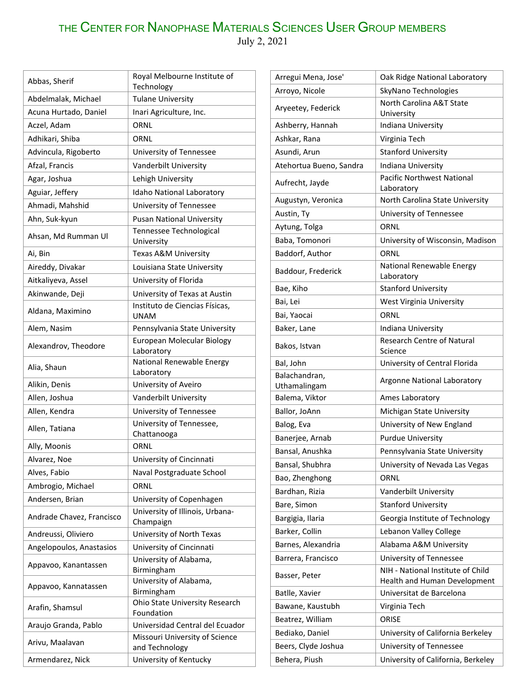## THE CENTER FOR NANOPHASE MATERIALS SCIENCES USER GROUP MEMBERS July 2, 2021

| Abbas, Sherif             | Royal Melbourne Institute of<br>Technology       |
|---------------------------|--------------------------------------------------|
| Abdelmalak, Michael       | <b>Tulane University</b>                         |
| Acuna Hurtado, Daniel     | Inari Agriculture, Inc.                          |
| Aczel, Adam               | ORNL                                             |
| Adhikari, Shiba           | ORNL                                             |
| Advincula, Rigoberto      | University of Tennessee                          |
| Afzal, Francis            | Vanderbilt University                            |
| Agar, Joshua              | Lehigh University                                |
| Aguiar, Jeffery           | Idaho National Laboratory                        |
| Ahmadi, Mahshid           | University of Tennessee                          |
| Ahn, Suk-kyun             | <b>Pusan National University</b>                 |
| Ahsan, Md Rumman Ul       | Tennessee Technological                          |
|                           | University                                       |
| Ai, Bin                   | Texas A&M University                             |
| Aireddy, Divakar          | Louisiana State University                       |
| Aitkaliyeva, Assel        | University of Florida                            |
| Akinwande, Deji           | University of Texas at Austin                    |
| Aldana, Maximino          | Instituto de Ciencias Físicas,<br><b>UNAM</b>    |
| Alem, Nasim               | Pennsylvania State University                    |
| Alexandrov, Theodore      | European Molecular Biology<br>Laboratory         |
|                           | National Renewable Energy                        |
| Alia, Shaun               | Laboratory                                       |
| Alikin, Denis             | University of Aveiro                             |
| Allen, Joshua             | Vanderbilt University                            |
| Allen, Kendra             | University of Tennessee                          |
| Allen, Tatiana            | University of Tennessee,<br>Chattanooga          |
| Ally, Moonis              | ORNL                                             |
| Alvarez, Noe              | University of Cincinnati                         |
| Alves, Fabio              | Naval Postgraduate School                        |
| Ambrogio, Michael         | ORNL                                             |
| Andersen, Brian           | University of Copenhagen                         |
| Andrade Chavez, Francisco | University of Illinois, Urbana-<br>Champaign     |
| Andreussi, Oliviero       | University of North Texas                        |
| Angelopoulos, Anastasios  | University of Cincinnati                         |
| Appavoo, Kanantassen      | University of Alabama,                           |
|                           | Birmingham<br>University of Alabama,             |
| Appavoo, Kannatassen      | Birmingham                                       |
|                           | Ohio State University Research                   |
| Arafin, Shamsul           | Foundation                                       |
| Araujo Granda, Pablo      | Universidad Central del Ecuador                  |
| Arivu, Maalavan           | Missouri University of Science<br>and Technology |

Armendarez, Nick | University of Kentucky

| Arregui Mena, Jose'           | Oak Ridge National Laboratory                                     |
|-------------------------------|-------------------------------------------------------------------|
| Arroyo, Nicole                | SkyNano Technologies                                              |
| Aryeetey, Federick            | North Carolina A&T State<br>University                            |
| Ashberry, Hannah              | Indiana University                                                |
| Ashkar, Rana                  | Virginia Tech                                                     |
| Asundi, Arun                  | <b>Stanford University</b>                                        |
| Atehortua Bueno, Sandra       | Indiana University                                                |
| Aufrecht, Jayde               | <b>Pacific Northwest National</b><br>Laboratory                   |
| Augustyn, Veronica            | North Carolina State University                                   |
| Austin, Ty                    | University of Tennessee                                           |
| Aytung, Tolga                 | ORNL                                                              |
| Baba, Tomonori                | University of Wisconsin, Madison                                  |
| Baddorf, Author               | ORNL                                                              |
| Baddour, Frederick            | National Renewable Energy<br>Laboratory                           |
| Bae, Kiho                     | <b>Stanford University</b>                                        |
| Bai, Lei                      | West Virginia University                                          |
| Bai, Yaocai                   | ORNL                                                              |
| Baker, Lane                   | Indiana University                                                |
|                               | <b>Research Centre of Natural</b>                                 |
| Bakos, Istvan                 | Science                                                           |
| Bal, John                     | University of Central Florida                                     |
| Balachandran,<br>Uthamalingam | Argonne National Laboratory                                       |
| Balema, Viktor                | Ames Laboratory                                                   |
| Ballor, JoAnn                 | Michigan State University                                         |
| Balog, Eva                    | University of New England                                         |
| Banerjee, Arnab               | <b>Purdue University</b>                                          |
| Bansal, Anushka               | Pennsylvania State University                                     |
| Bansal, Shubhra               | University of Nevada Las Vegas                                    |
| Bao, Zhenghong                | ORNL                                                              |
| Bardhan, Rizia                | Vanderbilt University                                             |
| Bare, Simon                   | <b>Stanford University</b>                                        |
| Bargigia, Ilaria              | Georgia Institute of Technology                                   |
| Barker, Collin                | Lebanon Valley College                                            |
| Barnes, Alexandria            | Alabama A&M University                                            |
| Barrera, Francisco            | University of Tennessee                                           |
| Basser, Peter                 | NIH - National Institute of Child<br>Health and Human Development |
| Batlle, Xavier                | Universitat de Barcelona                                          |
| Bawane, Kaustubh              | Virginia Tech                                                     |
| Beatrez, William              | <b>ORISE</b>                                                      |
| Bediako, Daniel               | University of California Berkeley                                 |
| Beers, Clyde Joshua           | University of Tennessee                                           |
| Behera, Piush                 | University of California, Berkeley                                |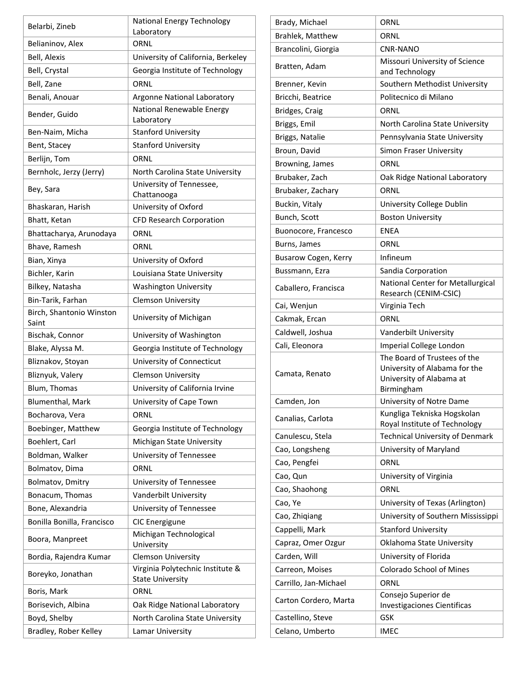| ORNL<br>Belianinov, Alex<br>Bell, Alexis<br>University of California, Berkeley<br>Bell, Crystal<br>Georgia Institute of Technology<br>ORNL<br>Bell, Zane<br>Benali, Anouar<br><b>Argonne National Laboratory</b><br><b>National Renewable Energy</b><br>Bender, Guido<br>Laboratory<br><b>Stanford University</b><br>Ben-Naim, Micha<br><b>Stanford University</b><br>Bent, Stacey<br>Berlijn, Tom<br>ORNL<br>Bernholc, Jerzy (Jerry)<br>North Carolina State University<br>University of Tennessee,<br>Bey, Sara<br>Chattanooga<br>University of Oxford<br>Bhaskaran, Harish<br>Bhatt, Ketan<br><b>CFD Research Corporation</b><br>ORNL<br>Bhattacharya, Arunodaya<br>Bhave, Ramesh<br>ORNL<br>University of Oxford<br>Bian, Xinya<br>Bichler, Karin<br>Louisiana State University<br>Bilkey, Natasha<br><b>Washington University</b><br>Bin-Tarik, Farhan<br><b>Clemson University</b><br>Birch, Shantonio Winston<br>University of Michigan<br>Saint<br>Bischak, Connor<br>University of Washington<br>Blake, Alyssa M.<br>Georgia Institute of Technology<br>Bliznakov, Stoyan<br>University of Connecticut<br>Bliznyuk, Valery<br><b>Clemson University</b><br>Blum, Thomas<br>University of California Irvine<br>University of Cape Town<br>Blumenthal, Mark<br>Bocharova, Vera<br>ORNL<br>Boebinger, Matthew<br>Georgia Institute of Technology<br>Boehlert, Carl<br>Michigan State University<br>Boldman, Walker<br>University of Tennessee<br>ORNL<br>Bolmatov, Dima<br>Bolmatov, Dmitry<br>University of Tennessee<br>Vanderbilt University<br>Bonacum, Thomas<br>Bone, Alexandria<br>University of Tennessee<br>Bonilla Bonilla, Francisco<br>CIC Energigune<br>Michigan Technological<br>Boora, Manpreet<br>University<br>Bordia, Rajendra Kumar<br><b>Clemson University</b><br>Virginia Polytechnic Institute &<br>Boreyko, Jonathan<br><b>State University</b><br>ORNL<br>Boris, Mark<br>Oak Ridge National Laboratory<br>Borisevich, Albina<br>Boyd, Shelby<br>North Carolina State University | Belarbi, Zineb        | National Energy Technology<br>Laboratory |
|----------------------------------------------------------------------------------------------------------------------------------------------------------------------------------------------------------------------------------------------------------------------------------------------------------------------------------------------------------------------------------------------------------------------------------------------------------------------------------------------------------------------------------------------------------------------------------------------------------------------------------------------------------------------------------------------------------------------------------------------------------------------------------------------------------------------------------------------------------------------------------------------------------------------------------------------------------------------------------------------------------------------------------------------------------------------------------------------------------------------------------------------------------------------------------------------------------------------------------------------------------------------------------------------------------------------------------------------------------------------------------------------------------------------------------------------------------------------------------------------------------------------------------------------------------------------------------------------------------------------------------------------------------------------------------------------------------------------------------------------------------------------------------------------------------------------------------------------------------------------------------------------------------------------------------------------------------------------------------------------------------------|-----------------------|------------------------------------------|
|                                                                                                                                                                                                                                                                                                                                                                                                                                                                                                                                                                                                                                                                                                                                                                                                                                                                                                                                                                                                                                                                                                                                                                                                                                                                                                                                                                                                                                                                                                                                                                                                                                                                                                                                                                                                                                                                                                                                                                                                                |                       |                                          |
|                                                                                                                                                                                                                                                                                                                                                                                                                                                                                                                                                                                                                                                                                                                                                                                                                                                                                                                                                                                                                                                                                                                                                                                                                                                                                                                                                                                                                                                                                                                                                                                                                                                                                                                                                                                                                                                                                                                                                                                                                |                       |                                          |
|                                                                                                                                                                                                                                                                                                                                                                                                                                                                                                                                                                                                                                                                                                                                                                                                                                                                                                                                                                                                                                                                                                                                                                                                                                                                                                                                                                                                                                                                                                                                                                                                                                                                                                                                                                                                                                                                                                                                                                                                                |                       |                                          |
|                                                                                                                                                                                                                                                                                                                                                                                                                                                                                                                                                                                                                                                                                                                                                                                                                                                                                                                                                                                                                                                                                                                                                                                                                                                                                                                                                                                                                                                                                                                                                                                                                                                                                                                                                                                                                                                                                                                                                                                                                |                       |                                          |
|                                                                                                                                                                                                                                                                                                                                                                                                                                                                                                                                                                                                                                                                                                                                                                                                                                                                                                                                                                                                                                                                                                                                                                                                                                                                                                                                                                                                                                                                                                                                                                                                                                                                                                                                                                                                                                                                                                                                                                                                                |                       |                                          |
|                                                                                                                                                                                                                                                                                                                                                                                                                                                                                                                                                                                                                                                                                                                                                                                                                                                                                                                                                                                                                                                                                                                                                                                                                                                                                                                                                                                                                                                                                                                                                                                                                                                                                                                                                                                                                                                                                                                                                                                                                |                       |                                          |
|                                                                                                                                                                                                                                                                                                                                                                                                                                                                                                                                                                                                                                                                                                                                                                                                                                                                                                                                                                                                                                                                                                                                                                                                                                                                                                                                                                                                                                                                                                                                                                                                                                                                                                                                                                                                                                                                                                                                                                                                                |                       |                                          |
|                                                                                                                                                                                                                                                                                                                                                                                                                                                                                                                                                                                                                                                                                                                                                                                                                                                                                                                                                                                                                                                                                                                                                                                                                                                                                                                                                                                                                                                                                                                                                                                                                                                                                                                                                                                                                                                                                                                                                                                                                |                       |                                          |
|                                                                                                                                                                                                                                                                                                                                                                                                                                                                                                                                                                                                                                                                                                                                                                                                                                                                                                                                                                                                                                                                                                                                                                                                                                                                                                                                                                                                                                                                                                                                                                                                                                                                                                                                                                                                                                                                                                                                                                                                                |                       |                                          |
|                                                                                                                                                                                                                                                                                                                                                                                                                                                                                                                                                                                                                                                                                                                                                                                                                                                                                                                                                                                                                                                                                                                                                                                                                                                                                                                                                                                                                                                                                                                                                                                                                                                                                                                                                                                                                                                                                                                                                                                                                |                       |                                          |
|                                                                                                                                                                                                                                                                                                                                                                                                                                                                                                                                                                                                                                                                                                                                                                                                                                                                                                                                                                                                                                                                                                                                                                                                                                                                                                                                                                                                                                                                                                                                                                                                                                                                                                                                                                                                                                                                                                                                                                                                                |                       |                                          |
|                                                                                                                                                                                                                                                                                                                                                                                                                                                                                                                                                                                                                                                                                                                                                                                                                                                                                                                                                                                                                                                                                                                                                                                                                                                                                                                                                                                                                                                                                                                                                                                                                                                                                                                                                                                                                                                                                                                                                                                                                |                       |                                          |
|                                                                                                                                                                                                                                                                                                                                                                                                                                                                                                                                                                                                                                                                                                                                                                                                                                                                                                                                                                                                                                                                                                                                                                                                                                                                                                                                                                                                                                                                                                                                                                                                                                                                                                                                                                                                                                                                                                                                                                                                                |                       |                                          |
|                                                                                                                                                                                                                                                                                                                                                                                                                                                                                                                                                                                                                                                                                                                                                                                                                                                                                                                                                                                                                                                                                                                                                                                                                                                                                                                                                                                                                                                                                                                                                                                                                                                                                                                                                                                                                                                                                                                                                                                                                |                       |                                          |
|                                                                                                                                                                                                                                                                                                                                                                                                                                                                                                                                                                                                                                                                                                                                                                                                                                                                                                                                                                                                                                                                                                                                                                                                                                                                                                                                                                                                                                                                                                                                                                                                                                                                                                                                                                                                                                                                                                                                                                                                                |                       |                                          |
|                                                                                                                                                                                                                                                                                                                                                                                                                                                                                                                                                                                                                                                                                                                                                                                                                                                                                                                                                                                                                                                                                                                                                                                                                                                                                                                                                                                                                                                                                                                                                                                                                                                                                                                                                                                                                                                                                                                                                                                                                |                       |                                          |
|                                                                                                                                                                                                                                                                                                                                                                                                                                                                                                                                                                                                                                                                                                                                                                                                                                                                                                                                                                                                                                                                                                                                                                                                                                                                                                                                                                                                                                                                                                                                                                                                                                                                                                                                                                                                                                                                                                                                                                                                                |                       |                                          |
|                                                                                                                                                                                                                                                                                                                                                                                                                                                                                                                                                                                                                                                                                                                                                                                                                                                                                                                                                                                                                                                                                                                                                                                                                                                                                                                                                                                                                                                                                                                                                                                                                                                                                                                                                                                                                                                                                                                                                                                                                |                       |                                          |
|                                                                                                                                                                                                                                                                                                                                                                                                                                                                                                                                                                                                                                                                                                                                                                                                                                                                                                                                                                                                                                                                                                                                                                                                                                                                                                                                                                                                                                                                                                                                                                                                                                                                                                                                                                                                                                                                                                                                                                                                                |                       |                                          |
|                                                                                                                                                                                                                                                                                                                                                                                                                                                                                                                                                                                                                                                                                                                                                                                                                                                                                                                                                                                                                                                                                                                                                                                                                                                                                                                                                                                                                                                                                                                                                                                                                                                                                                                                                                                                                                                                                                                                                                                                                |                       |                                          |
|                                                                                                                                                                                                                                                                                                                                                                                                                                                                                                                                                                                                                                                                                                                                                                                                                                                                                                                                                                                                                                                                                                                                                                                                                                                                                                                                                                                                                                                                                                                                                                                                                                                                                                                                                                                                                                                                                                                                                                                                                |                       |                                          |
|                                                                                                                                                                                                                                                                                                                                                                                                                                                                                                                                                                                                                                                                                                                                                                                                                                                                                                                                                                                                                                                                                                                                                                                                                                                                                                                                                                                                                                                                                                                                                                                                                                                                                                                                                                                                                                                                                                                                                                                                                |                       |                                          |
|                                                                                                                                                                                                                                                                                                                                                                                                                                                                                                                                                                                                                                                                                                                                                                                                                                                                                                                                                                                                                                                                                                                                                                                                                                                                                                                                                                                                                                                                                                                                                                                                                                                                                                                                                                                                                                                                                                                                                                                                                |                       |                                          |
|                                                                                                                                                                                                                                                                                                                                                                                                                                                                                                                                                                                                                                                                                                                                                                                                                                                                                                                                                                                                                                                                                                                                                                                                                                                                                                                                                                                                                                                                                                                                                                                                                                                                                                                                                                                                                                                                                                                                                                                                                |                       |                                          |
|                                                                                                                                                                                                                                                                                                                                                                                                                                                                                                                                                                                                                                                                                                                                                                                                                                                                                                                                                                                                                                                                                                                                                                                                                                                                                                                                                                                                                                                                                                                                                                                                                                                                                                                                                                                                                                                                                                                                                                                                                |                       |                                          |
|                                                                                                                                                                                                                                                                                                                                                                                                                                                                                                                                                                                                                                                                                                                                                                                                                                                                                                                                                                                                                                                                                                                                                                                                                                                                                                                                                                                                                                                                                                                                                                                                                                                                                                                                                                                                                                                                                                                                                                                                                |                       |                                          |
|                                                                                                                                                                                                                                                                                                                                                                                                                                                                                                                                                                                                                                                                                                                                                                                                                                                                                                                                                                                                                                                                                                                                                                                                                                                                                                                                                                                                                                                                                                                                                                                                                                                                                                                                                                                                                                                                                                                                                                                                                |                       |                                          |
|                                                                                                                                                                                                                                                                                                                                                                                                                                                                                                                                                                                                                                                                                                                                                                                                                                                                                                                                                                                                                                                                                                                                                                                                                                                                                                                                                                                                                                                                                                                                                                                                                                                                                                                                                                                                                                                                                                                                                                                                                |                       |                                          |
|                                                                                                                                                                                                                                                                                                                                                                                                                                                                                                                                                                                                                                                                                                                                                                                                                                                                                                                                                                                                                                                                                                                                                                                                                                                                                                                                                                                                                                                                                                                                                                                                                                                                                                                                                                                                                                                                                                                                                                                                                |                       |                                          |
|                                                                                                                                                                                                                                                                                                                                                                                                                                                                                                                                                                                                                                                                                                                                                                                                                                                                                                                                                                                                                                                                                                                                                                                                                                                                                                                                                                                                                                                                                                                                                                                                                                                                                                                                                                                                                                                                                                                                                                                                                |                       |                                          |
|                                                                                                                                                                                                                                                                                                                                                                                                                                                                                                                                                                                                                                                                                                                                                                                                                                                                                                                                                                                                                                                                                                                                                                                                                                                                                                                                                                                                                                                                                                                                                                                                                                                                                                                                                                                                                                                                                                                                                                                                                |                       |                                          |
|                                                                                                                                                                                                                                                                                                                                                                                                                                                                                                                                                                                                                                                                                                                                                                                                                                                                                                                                                                                                                                                                                                                                                                                                                                                                                                                                                                                                                                                                                                                                                                                                                                                                                                                                                                                                                                                                                                                                                                                                                |                       |                                          |
|                                                                                                                                                                                                                                                                                                                                                                                                                                                                                                                                                                                                                                                                                                                                                                                                                                                                                                                                                                                                                                                                                                                                                                                                                                                                                                                                                                                                                                                                                                                                                                                                                                                                                                                                                                                                                                                                                                                                                                                                                |                       |                                          |
|                                                                                                                                                                                                                                                                                                                                                                                                                                                                                                                                                                                                                                                                                                                                                                                                                                                                                                                                                                                                                                                                                                                                                                                                                                                                                                                                                                                                                                                                                                                                                                                                                                                                                                                                                                                                                                                                                                                                                                                                                |                       |                                          |
|                                                                                                                                                                                                                                                                                                                                                                                                                                                                                                                                                                                                                                                                                                                                                                                                                                                                                                                                                                                                                                                                                                                                                                                                                                                                                                                                                                                                                                                                                                                                                                                                                                                                                                                                                                                                                                                                                                                                                                                                                |                       |                                          |
|                                                                                                                                                                                                                                                                                                                                                                                                                                                                                                                                                                                                                                                                                                                                                                                                                                                                                                                                                                                                                                                                                                                                                                                                                                                                                                                                                                                                                                                                                                                                                                                                                                                                                                                                                                                                                                                                                                                                                                                                                |                       |                                          |
|                                                                                                                                                                                                                                                                                                                                                                                                                                                                                                                                                                                                                                                                                                                                                                                                                                                                                                                                                                                                                                                                                                                                                                                                                                                                                                                                                                                                                                                                                                                                                                                                                                                                                                                                                                                                                                                                                                                                                                                                                |                       |                                          |
|                                                                                                                                                                                                                                                                                                                                                                                                                                                                                                                                                                                                                                                                                                                                                                                                                                                                                                                                                                                                                                                                                                                                                                                                                                                                                                                                                                                                                                                                                                                                                                                                                                                                                                                                                                                                                                                                                                                                                                                                                |                       |                                          |
|                                                                                                                                                                                                                                                                                                                                                                                                                                                                                                                                                                                                                                                                                                                                                                                                                                                                                                                                                                                                                                                                                                                                                                                                                                                                                                                                                                                                                                                                                                                                                                                                                                                                                                                                                                                                                                                                                                                                                                                                                |                       |                                          |
|                                                                                                                                                                                                                                                                                                                                                                                                                                                                                                                                                                                                                                                                                                                                                                                                                                                                                                                                                                                                                                                                                                                                                                                                                                                                                                                                                                                                                                                                                                                                                                                                                                                                                                                                                                                                                                                                                                                                                                                                                |                       |                                          |
|                                                                                                                                                                                                                                                                                                                                                                                                                                                                                                                                                                                                                                                                                                                                                                                                                                                                                                                                                                                                                                                                                                                                                                                                                                                                                                                                                                                                                                                                                                                                                                                                                                                                                                                                                                                                                                                                                                                                                                                                                |                       |                                          |
|                                                                                                                                                                                                                                                                                                                                                                                                                                                                                                                                                                                                                                                                                                                                                                                                                                                                                                                                                                                                                                                                                                                                                                                                                                                                                                                                                                                                                                                                                                                                                                                                                                                                                                                                                                                                                                                                                                                                                                                                                |                       |                                          |
|                                                                                                                                                                                                                                                                                                                                                                                                                                                                                                                                                                                                                                                                                                                                                                                                                                                                                                                                                                                                                                                                                                                                                                                                                                                                                                                                                                                                                                                                                                                                                                                                                                                                                                                                                                                                                                                                                                                                                                                                                |                       |                                          |
|                                                                                                                                                                                                                                                                                                                                                                                                                                                                                                                                                                                                                                                                                                                                                                                                                                                                                                                                                                                                                                                                                                                                                                                                                                                                                                                                                                                                                                                                                                                                                                                                                                                                                                                                                                                                                                                                                                                                                                                                                | Bradley, Rober Kelley | Lamar University                         |

| Brahlek, Matthew<br>ORNL<br><b>CNR-NANO</b><br>Brancolini, Giorgia<br>Missouri University of Science<br>Bratten, Adam<br>and Technology<br>Southern Methodist University<br>Brenner, Kevin<br>Politecnico di Milano<br>Bricchi, Beatrice<br>ORNL<br>Bridges, Craig<br>Briggs, Emil<br>North Carolina State University<br>Briggs, Natalie<br>Pennsylvania State University<br>Broun, David<br>Simon Fraser University<br>Browning, James<br>ORNL<br>Brubaker, Zach<br>Oak Ridge National Laboratory<br>Brubaker, Zachary<br>ORNL<br>Buckin, Vitaly<br>University College Dublin<br>Bunch, Scott<br><b>Boston University</b><br>ENEA<br>Buonocore, Francesco<br>ORNL<br>Burns, James<br>Infineum<br>Busarow Cogen, Kerry<br>Sandia Corporation<br>Bussmann, Ezra<br>National Center for Metallurgical<br>Caballero, Francisca<br>Research (CENIM-CSIC)<br>Virginia Tech<br>Cai, Wenjun<br>ORNL<br>Cakmak, Ercan<br>Caldwell, Joshua<br>Vanderbilt University<br>Cali, Eleonora<br>Imperial College London<br>The Board of Trustees of the<br>University of Alabama for the<br>Camata, Renato<br>University of Alabama at<br>Birmingham<br>University of Notre Dame<br>Camden, Jon<br>Kungliga Tekniska Hogskolan<br>Canalias, Carlota<br>Royal Institute of Technology<br><b>Technical University of Denmark</b><br>Canulescu, Stela<br>Cao, Longsheng<br>University of Maryland<br>ORNL<br>Cao, Pengfei<br>Cao, Qun<br>University of Virginia<br>Cao, Shaohong<br>ORNL<br>University of Texas (Arlington)<br>Cao, Ye<br>University of Southern Mississippi<br>Cao, Zhiqiang<br><b>Stanford University</b><br>Cappelli, Mark<br>Capraz, Omer Ozgur<br>Oklahoma State University<br>Carden, Will<br>University of Florida<br><b>Colorado School of Mines</b><br>Carreon, Moises<br>ORNL<br>Carrillo, Jan-Michael<br>Consejo Superior de<br>Carton Cordero, Marta<br>Investigaciones Cientificas<br>Castellino, Steve<br>GSK<br>Celano, Umberto<br><b>IMEC</b> | Brady, Michael | ORNL |
|------------------------------------------------------------------------------------------------------------------------------------------------------------------------------------------------------------------------------------------------------------------------------------------------------------------------------------------------------------------------------------------------------------------------------------------------------------------------------------------------------------------------------------------------------------------------------------------------------------------------------------------------------------------------------------------------------------------------------------------------------------------------------------------------------------------------------------------------------------------------------------------------------------------------------------------------------------------------------------------------------------------------------------------------------------------------------------------------------------------------------------------------------------------------------------------------------------------------------------------------------------------------------------------------------------------------------------------------------------------------------------------------------------------------------------------------------------------------------------------------------------------------------------------------------------------------------------------------------------------------------------------------------------------------------------------------------------------------------------------------------------------------------------------------------------------------------------------------------------------------------------------------------------------------------------------------------------|----------------|------|
|                                                                                                                                                                                                                                                                                                                                                                                                                                                                                                                                                                                                                                                                                                                                                                                                                                                                                                                                                                                                                                                                                                                                                                                                                                                                                                                                                                                                                                                                                                                                                                                                                                                                                                                                                                                                                                                                                                                                                            |                |      |
|                                                                                                                                                                                                                                                                                                                                                                                                                                                                                                                                                                                                                                                                                                                                                                                                                                                                                                                                                                                                                                                                                                                                                                                                                                                                                                                                                                                                                                                                                                                                                                                                                                                                                                                                                                                                                                                                                                                                                            |                |      |
|                                                                                                                                                                                                                                                                                                                                                                                                                                                                                                                                                                                                                                                                                                                                                                                                                                                                                                                                                                                                                                                                                                                                                                                                                                                                                                                                                                                                                                                                                                                                                                                                                                                                                                                                                                                                                                                                                                                                                            |                |      |
|                                                                                                                                                                                                                                                                                                                                                                                                                                                                                                                                                                                                                                                                                                                                                                                                                                                                                                                                                                                                                                                                                                                                                                                                                                                                                                                                                                                                                                                                                                                                                                                                                                                                                                                                                                                                                                                                                                                                                            |                |      |
|                                                                                                                                                                                                                                                                                                                                                                                                                                                                                                                                                                                                                                                                                                                                                                                                                                                                                                                                                                                                                                                                                                                                                                                                                                                                                                                                                                                                                                                                                                                                                                                                                                                                                                                                                                                                                                                                                                                                                            |                |      |
|                                                                                                                                                                                                                                                                                                                                                                                                                                                                                                                                                                                                                                                                                                                                                                                                                                                                                                                                                                                                                                                                                                                                                                                                                                                                                                                                                                                                                                                                                                                                                                                                                                                                                                                                                                                                                                                                                                                                                            |                |      |
|                                                                                                                                                                                                                                                                                                                                                                                                                                                                                                                                                                                                                                                                                                                                                                                                                                                                                                                                                                                                                                                                                                                                                                                                                                                                                                                                                                                                                                                                                                                                                                                                                                                                                                                                                                                                                                                                                                                                                            |                |      |
|                                                                                                                                                                                                                                                                                                                                                                                                                                                                                                                                                                                                                                                                                                                                                                                                                                                                                                                                                                                                                                                                                                                                                                                                                                                                                                                                                                                                                                                                                                                                                                                                                                                                                                                                                                                                                                                                                                                                                            |                |      |
|                                                                                                                                                                                                                                                                                                                                                                                                                                                                                                                                                                                                                                                                                                                                                                                                                                                                                                                                                                                                                                                                                                                                                                                                                                                                                                                                                                                                                                                                                                                                                                                                                                                                                                                                                                                                                                                                                                                                                            |                |      |
|                                                                                                                                                                                                                                                                                                                                                                                                                                                                                                                                                                                                                                                                                                                                                                                                                                                                                                                                                                                                                                                                                                                                                                                                                                                                                                                                                                                                                                                                                                                                                                                                                                                                                                                                                                                                                                                                                                                                                            |                |      |
|                                                                                                                                                                                                                                                                                                                                                                                                                                                                                                                                                                                                                                                                                                                                                                                                                                                                                                                                                                                                                                                                                                                                                                                                                                                                                                                                                                                                                                                                                                                                                                                                                                                                                                                                                                                                                                                                                                                                                            |                |      |
|                                                                                                                                                                                                                                                                                                                                                                                                                                                                                                                                                                                                                                                                                                                                                                                                                                                                                                                                                                                                                                                                                                                                                                                                                                                                                                                                                                                                                                                                                                                                                                                                                                                                                                                                                                                                                                                                                                                                                            |                |      |
|                                                                                                                                                                                                                                                                                                                                                                                                                                                                                                                                                                                                                                                                                                                                                                                                                                                                                                                                                                                                                                                                                                                                                                                                                                                                                                                                                                                                                                                                                                                                                                                                                                                                                                                                                                                                                                                                                                                                                            |                |      |
|                                                                                                                                                                                                                                                                                                                                                                                                                                                                                                                                                                                                                                                                                                                                                                                                                                                                                                                                                                                                                                                                                                                                                                                                                                                                                                                                                                                                                                                                                                                                                                                                                                                                                                                                                                                                                                                                                                                                                            |                |      |
|                                                                                                                                                                                                                                                                                                                                                                                                                                                                                                                                                                                                                                                                                                                                                                                                                                                                                                                                                                                                                                                                                                                                                                                                                                                                                                                                                                                                                                                                                                                                                                                                                                                                                                                                                                                                                                                                                                                                                            |                |      |
|                                                                                                                                                                                                                                                                                                                                                                                                                                                                                                                                                                                                                                                                                                                                                                                                                                                                                                                                                                                                                                                                                                                                                                                                                                                                                                                                                                                                                                                                                                                                                                                                                                                                                                                                                                                                                                                                                                                                                            |                |      |
|                                                                                                                                                                                                                                                                                                                                                                                                                                                                                                                                                                                                                                                                                                                                                                                                                                                                                                                                                                                                                                                                                                                                                                                                                                                                                                                                                                                                                                                                                                                                                                                                                                                                                                                                                                                                                                                                                                                                                            |                |      |
|                                                                                                                                                                                                                                                                                                                                                                                                                                                                                                                                                                                                                                                                                                                                                                                                                                                                                                                                                                                                                                                                                                                                                                                                                                                                                                                                                                                                                                                                                                                                                                                                                                                                                                                                                                                                                                                                                                                                                            |                |      |
|                                                                                                                                                                                                                                                                                                                                                                                                                                                                                                                                                                                                                                                                                                                                                                                                                                                                                                                                                                                                                                                                                                                                                                                                                                                                                                                                                                                                                                                                                                                                                                                                                                                                                                                                                                                                                                                                                                                                                            |                |      |
|                                                                                                                                                                                                                                                                                                                                                                                                                                                                                                                                                                                                                                                                                                                                                                                                                                                                                                                                                                                                                                                                                                                                                                                                                                                                                                                                                                                                                                                                                                                                                                                                                                                                                                                                                                                                                                                                                                                                                            |                |      |
|                                                                                                                                                                                                                                                                                                                                                                                                                                                                                                                                                                                                                                                                                                                                                                                                                                                                                                                                                                                                                                                                                                                                                                                                                                                                                                                                                                                                                                                                                                                                                                                                                                                                                                                                                                                                                                                                                                                                                            |                |      |
|                                                                                                                                                                                                                                                                                                                                                                                                                                                                                                                                                                                                                                                                                                                                                                                                                                                                                                                                                                                                                                                                                                                                                                                                                                                                                                                                                                                                                                                                                                                                                                                                                                                                                                                                                                                                                                                                                                                                                            |                |      |
|                                                                                                                                                                                                                                                                                                                                                                                                                                                                                                                                                                                                                                                                                                                                                                                                                                                                                                                                                                                                                                                                                                                                                                                                                                                                                                                                                                                                                                                                                                                                                                                                                                                                                                                                                                                                                                                                                                                                                            |                |      |
|                                                                                                                                                                                                                                                                                                                                                                                                                                                                                                                                                                                                                                                                                                                                                                                                                                                                                                                                                                                                                                                                                                                                                                                                                                                                                                                                                                                                                                                                                                                                                                                                                                                                                                                                                                                                                                                                                                                                                            |                |      |
|                                                                                                                                                                                                                                                                                                                                                                                                                                                                                                                                                                                                                                                                                                                                                                                                                                                                                                                                                                                                                                                                                                                                                                                                                                                                                                                                                                                                                                                                                                                                                                                                                                                                                                                                                                                                                                                                                                                                                            |                |      |
|                                                                                                                                                                                                                                                                                                                                                                                                                                                                                                                                                                                                                                                                                                                                                                                                                                                                                                                                                                                                                                                                                                                                                                                                                                                                                                                                                                                                                                                                                                                                                                                                                                                                                                                                                                                                                                                                                                                                                            |                |      |
|                                                                                                                                                                                                                                                                                                                                                                                                                                                                                                                                                                                                                                                                                                                                                                                                                                                                                                                                                                                                                                                                                                                                                                                                                                                                                                                                                                                                                                                                                                                                                                                                                                                                                                                                                                                                                                                                                                                                                            |                |      |
|                                                                                                                                                                                                                                                                                                                                                                                                                                                                                                                                                                                                                                                                                                                                                                                                                                                                                                                                                                                                                                                                                                                                                                                                                                                                                                                                                                                                                                                                                                                                                                                                                                                                                                                                                                                                                                                                                                                                                            |                |      |
|                                                                                                                                                                                                                                                                                                                                                                                                                                                                                                                                                                                                                                                                                                                                                                                                                                                                                                                                                                                                                                                                                                                                                                                                                                                                                                                                                                                                                                                                                                                                                                                                                                                                                                                                                                                                                                                                                                                                                            |                |      |
|                                                                                                                                                                                                                                                                                                                                                                                                                                                                                                                                                                                                                                                                                                                                                                                                                                                                                                                                                                                                                                                                                                                                                                                                                                                                                                                                                                                                                                                                                                                                                                                                                                                                                                                                                                                                                                                                                                                                                            |                |      |
|                                                                                                                                                                                                                                                                                                                                                                                                                                                                                                                                                                                                                                                                                                                                                                                                                                                                                                                                                                                                                                                                                                                                                                                                                                                                                                                                                                                                                                                                                                                                                                                                                                                                                                                                                                                                                                                                                                                                                            |                |      |
|                                                                                                                                                                                                                                                                                                                                                                                                                                                                                                                                                                                                                                                                                                                                                                                                                                                                                                                                                                                                                                                                                                                                                                                                                                                                                                                                                                                                                                                                                                                                                                                                                                                                                                                                                                                                                                                                                                                                                            |                |      |
|                                                                                                                                                                                                                                                                                                                                                                                                                                                                                                                                                                                                                                                                                                                                                                                                                                                                                                                                                                                                                                                                                                                                                                                                                                                                                                                                                                                                                                                                                                                                                                                                                                                                                                                                                                                                                                                                                                                                                            |                |      |
|                                                                                                                                                                                                                                                                                                                                                                                                                                                                                                                                                                                                                                                                                                                                                                                                                                                                                                                                                                                                                                                                                                                                                                                                                                                                                                                                                                                                                                                                                                                                                                                                                                                                                                                                                                                                                                                                                                                                                            |                |      |
|                                                                                                                                                                                                                                                                                                                                                                                                                                                                                                                                                                                                                                                                                                                                                                                                                                                                                                                                                                                                                                                                                                                                                                                                                                                                                                                                                                                                                                                                                                                                                                                                                                                                                                                                                                                                                                                                                                                                                            |                |      |
|                                                                                                                                                                                                                                                                                                                                                                                                                                                                                                                                                                                                                                                                                                                                                                                                                                                                                                                                                                                                                                                                                                                                                                                                                                                                                                                                                                                                                                                                                                                                                                                                                                                                                                                                                                                                                                                                                                                                                            |                |      |
|                                                                                                                                                                                                                                                                                                                                                                                                                                                                                                                                                                                                                                                                                                                                                                                                                                                                                                                                                                                                                                                                                                                                                                                                                                                                                                                                                                                                                                                                                                                                                                                                                                                                                                                                                                                                                                                                                                                                                            |                |      |
|                                                                                                                                                                                                                                                                                                                                                                                                                                                                                                                                                                                                                                                                                                                                                                                                                                                                                                                                                                                                                                                                                                                                                                                                                                                                                                                                                                                                                                                                                                                                                                                                                                                                                                                                                                                                                                                                                                                                                            |                |      |
|                                                                                                                                                                                                                                                                                                                                                                                                                                                                                                                                                                                                                                                                                                                                                                                                                                                                                                                                                                                                                                                                                                                                                                                                                                                                                                                                                                                                                                                                                                                                                                                                                                                                                                                                                                                                                                                                                                                                                            |                |      |
|                                                                                                                                                                                                                                                                                                                                                                                                                                                                                                                                                                                                                                                                                                                                                                                                                                                                                                                                                                                                                                                                                                                                                                                                                                                                                                                                                                                                                                                                                                                                                                                                                                                                                                                                                                                                                                                                                                                                                            |                |      |
|                                                                                                                                                                                                                                                                                                                                                                                                                                                                                                                                                                                                                                                                                                                                                                                                                                                                                                                                                                                                                                                                                                                                                                                                                                                                                                                                                                                                                                                                                                                                                                                                                                                                                                                                                                                                                                                                                                                                                            |                |      |
|                                                                                                                                                                                                                                                                                                                                                                                                                                                                                                                                                                                                                                                                                                                                                                                                                                                                                                                                                                                                                                                                                                                                                                                                                                                                                                                                                                                                                                                                                                                                                                                                                                                                                                                                                                                                                                                                                                                                                            |                |      |
|                                                                                                                                                                                                                                                                                                                                                                                                                                                                                                                                                                                                                                                                                                                                                                                                                                                                                                                                                                                                                                                                                                                                                                                                                                                                                                                                                                                                                                                                                                                                                                                                                                                                                                                                                                                                                                                                                                                                                            |                |      |
|                                                                                                                                                                                                                                                                                                                                                                                                                                                                                                                                                                                                                                                                                                                                                                                                                                                                                                                                                                                                                                                                                                                                                                                                                                                                                                                                                                                                                                                                                                                                                                                                                                                                                                                                                                                                                                                                                                                                                            |                |      |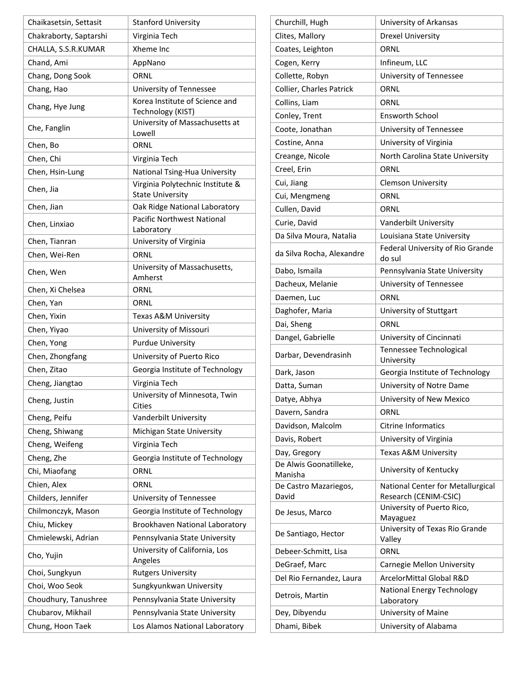| Chaikasetsin, Settasit | <b>Stanford University</b>                                  |
|------------------------|-------------------------------------------------------------|
| Chakraborty, Saptarshi | Virginia Tech                                               |
| CHALLA, S.S.R.KUMAR    | Xheme Inc                                                   |
| Chand, Ami             | AppNano                                                     |
| Chang, Dong Sook       | ORNL                                                        |
| Chang, Hao             | University of Tennessee                                     |
| Chang, Hye Jung        | Korea Institute of Science and<br>Technology (KIST)         |
| Che, Fanglin           | University of Massachusetts at<br>Lowell                    |
| Chen, Bo               | ORNL                                                        |
| Chen, Chi              | Virginia Tech                                               |
| Chen, Hsin-Lung        | National Tsing-Hua University                               |
| Chen, Jia              | Virginia Polytechnic Institute &<br><b>State University</b> |
| Chen, Jian             | Oak Ridge National Laboratory                               |
| Chen, Linxiao          | <b>Pacific Northwest National</b>                           |
|                        | Laboratory                                                  |
| Chen, Tianran          | University of Virginia                                      |
| Chen, Wei-Ren          | ORNL                                                        |
| Chen, Wen              | University of Massachusetts,<br>Amherst                     |
| Chen, Xi Chelsea       | ORNL                                                        |
| Chen, Yan              | ORNL                                                        |
| Chen, Yixin            | Texas A&M University                                        |
| Chen, Yiyao            | University of Missouri                                      |
| Chen, Yong             | <b>Purdue University</b>                                    |
| Chen, Zhongfang        | University of Puerto Rico                                   |
| Chen, Zitao            | Georgia Institute of Technology                             |
| Cheng, Jiangtao        | Virginia Tech                                               |
| Cheng, Justin          | University of Minnesota, Twin<br>Cities                     |
| Cheng, Peifu           | Vanderbilt University                                       |
| Cheng, Shiwang         | Michigan State University                                   |
| Cheng, Weifeng         | Virginia Tech                                               |
| Cheng, Zhe             | Georgia Institute of Technology                             |
| Chi, Miaofang          | ORNL                                                        |
| Chien, Alex            | ORNL                                                        |
| Childers, Jennifer     | University of Tennessee                                     |
| Chilmonczyk, Mason     | Georgia Institute of Technology                             |
| Chiu, Mickey           | Brookhaven National Laboratory                              |
| Chmielewski, Adrian    | Pennsylvania State University                               |
| Cho, Yujin             | University of California, Los<br>Angeles                    |
| Choi, Sungkyun         | <b>Rutgers University</b>                                   |
| Choi, Woo Seok         | Sungkyunkwan University                                     |
| Choudhury, Tanushree   | Pennsylvania State University                               |
| Chubarov, Mikhail      | Pennsylvania State University                               |
|                        |                                                             |
| Chung, Hoon Taek       | Los Alamos National Laboratory                              |

| Churchill, Hugh                   | University of Arkansas                     |
|-----------------------------------|--------------------------------------------|
| Clites, Mallory                   | <b>Drexel University</b>                   |
| Coates, Leighton                  | ORNL                                       |
| Cogen, Kerry                      | Infineum, LLC                              |
| Collette, Robyn                   | University of Tennessee                    |
| Collier, Charles Patrick          | ORNL                                       |
| Collins, Liam                     | ORNL                                       |
| Conley, Trent                     | <b>Ensworth School</b>                     |
| Coote, Jonathan                   | University of Tennessee                    |
| Costine, Anna                     | University of Virginia                     |
| Creange, Nicole                   | North Carolina State University            |
| Creel, Erin                       | ORNL                                       |
| Cui, Jiang                        | <b>Clemson University</b>                  |
| Cui, Mengmeng                     | ORNL                                       |
| Cullen, David                     | ORNL                                       |
| Curie, David                      | Vanderbilt University                      |
| Da Silva Moura, Natalia           | Louisiana State University                 |
| da Silva Rocha, Alexandre         | Federal University of Rio Grande<br>do sul |
| Dabo, Ismaila                     | Pennsylvania State University              |
| Dacheux, Melanie                  | University of Tennessee                    |
| Daemen, Luc                       | ORNL                                       |
| Daghofer, Maria                   | University of Stuttgart                    |
| Dai, Sheng                        | ORNL                                       |
| Dangel, Gabrielle                 | University of Cincinnati                   |
| Darbar, Devendrasinh              | Tennessee Technological<br>University      |
| Dark, Jason                       | Georgia Institute of Technology            |
| Datta, Suman                      | University of Notre Dame                   |
| Datye, Abhya                      | University of New Mexico                   |
| Davern, Sandra                    | ORNL                                       |
| Davidson, Malcolm                 | <b>Citrine Informatics</b>                 |
| Davis, Robert                     | University of Virginia                     |
| Day, Gregory                      | Texas A&M University                       |
| De Alwis Goonatilleke,<br>Manisha | University of Kentucky                     |
| De Castro Mazariegos,             | National Center for Metallurgical          |
| David                             | Research (CENIM-CSIC)                      |
| De Jesus, Marco                   | University of Puerto Rico,<br>Mayaguez     |
| De Santiago, Hector               | University of Texas Rio Grande<br>Valley   |
| Debeer-Schmitt, Lisa              | ORNL                                       |
| DeGraef, Marc                     | Carnegie Mellon University                 |
| Del Rio Fernandez, Laura          | ArcelorMittal Global R&D                   |
| Detrois, Martin                   | National Energy Technology<br>Laboratory   |
| Dey, Dibyendu                     | University of Maine                        |
| Dhami, Bibek                      | University of Alabama                      |

 $\Gamma$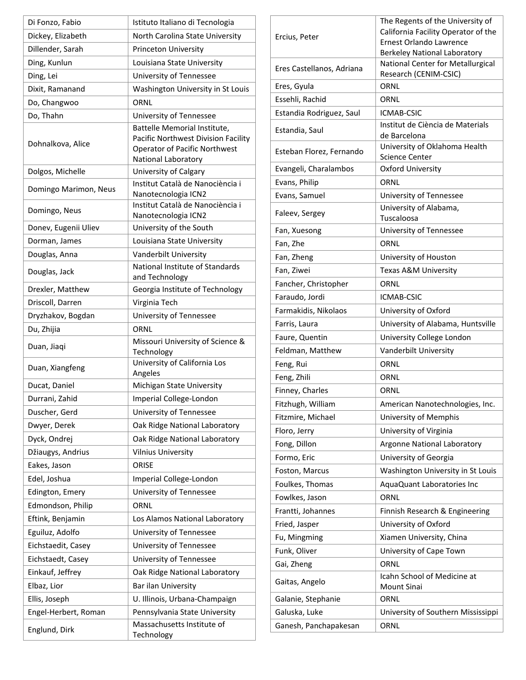| Di Fonzo, Fabio       | Istituto Italiano di Tecnologia                                                                                                    |
|-----------------------|------------------------------------------------------------------------------------------------------------------------------------|
| Dickey, Elizabeth     | North Carolina State University                                                                                                    |
| Dillender, Sarah      | Princeton University                                                                                                               |
| Ding, Kunlun          | Louisiana State University                                                                                                         |
| Ding, Lei             | University of Tennessee                                                                                                            |
| Dixit, Ramanand       | Washington University in St Louis                                                                                                  |
| Do, Changwoo          | ORNL                                                                                                                               |
| Do, Thahn             | University of Tennessee                                                                                                            |
| Dohnalkova, Alice     | Battelle Memorial Institute,<br>Pacific Northwest Division Facility<br><b>Operator of Pacific Northwest</b><br>National Laboratory |
| Dolgos, Michelle      | University of Calgary                                                                                                              |
| Domingo Marimon, Neus | Institut Català de Nanociència i<br>Nanotecnologia ICN2                                                                            |
| Domingo, Neus         | Institut Català de Nanociència i<br>Nanotecnologia ICN2                                                                            |
| Donev, Eugenii Uliev  | University of the South                                                                                                            |
| Dorman, James         | Louisiana State University                                                                                                         |
| Douglas, Anna         | Vanderbilt University                                                                                                              |
| Douglas, Jack         | National Institute of Standards<br>and Technology                                                                                  |
| Drexler, Matthew      | Georgia Institute of Technology                                                                                                    |
| Driscoll, Darren      | Virginia Tech                                                                                                                      |
| Dryzhakov, Bogdan     | University of Tennessee                                                                                                            |
| Du, Zhijia            | ORNL                                                                                                                               |
| Duan, Jiaqi           | Missouri University of Science &<br>Technology                                                                                     |
| Duan, Xiangfeng       | University of California Los<br>Angeles                                                                                            |
| Ducat, Daniel         | Michigan State University                                                                                                          |
| Durrani, Zahid        | Imperial College-London                                                                                                            |
| Duscher, Gerd         | University of Tennessee                                                                                                            |
| Dwyer, Derek          | Oak Ridge National Laboratory                                                                                                      |
| Dyck, Ondrej          | Oak Ridge National Laboratory                                                                                                      |
| Džiaugys, Andrius     | <b>Vilnius University</b>                                                                                                          |
| Eakes, Jason          | <b>ORISE</b>                                                                                                                       |
| Edel, Joshua          | Imperial College-London                                                                                                            |
| Edington, Emery       | University of Tennessee                                                                                                            |
| Edmondson, Philip     | ORNL                                                                                                                               |
| Eftink, Benjamin      | Los Alamos National Laboratory                                                                                                     |
| Eguiluz, Adolfo       | University of Tennessee                                                                                                            |
| Eichstaedit, Casey    | University of Tennessee                                                                                                            |
| Eichstaedt, Casey     | University of Tennessee                                                                                                            |
| Einkauf, Jeffrey      | Oak Ridge National Laboratory                                                                                                      |
| Elbaz, Lior           | Bar ilan University                                                                                                                |
| Ellis, Joseph         | U. Illinois, Urbana-Champaign                                                                                                      |
| Engel-Herbert, Roman  | Pennsylvania State University                                                                                                      |
| Englund, Dirk         | Massachusetts Institute of<br>Technology                                                                                           |

| Ercius, Peter             | The Regents of the University of<br>California Facility Operator of the<br>Ernest Orlando Lawrence<br><b>Berkeley National Laboratory</b> |
|---------------------------|-------------------------------------------------------------------------------------------------------------------------------------------|
| Eres Castellanos, Adriana | National Center for Metallurgical                                                                                                         |
|                           | Research (CENIM-CSIC)                                                                                                                     |
| Eres, Gyula               | ORNL                                                                                                                                      |
| Essehli, Rachid           | ORNL                                                                                                                                      |
| Estandia Rodriguez, Saul  | ICMAB-CSIC                                                                                                                                |
| Estandia, Saul            | Institut de Ciència de Materials<br>de Barcelona                                                                                          |
| Esteban Florez, Fernando  | University of Oklahoma Health<br><b>Science Center</b>                                                                                    |
| Evangeli, Charalambos     | <b>Oxford University</b>                                                                                                                  |
| Evans, Philip             | ORNL                                                                                                                                      |
| Evans, Samuel             | University of Tennessee                                                                                                                   |
| Faleev, Sergey            | University of Alabama,                                                                                                                    |
|                           | Tuscaloosa                                                                                                                                |
| Fan, Xuesong              | University of Tennessee                                                                                                                   |
| Fan, Zhe                  | ORNL                                                                                                                                      |
| Fan, Zheng                | University of Houston                                                                                                                     |
| Fan, Ziwei                | Texas A&M University                                                                                                                      |
| Fancher, Christopher      | ORNL                                                                                                                                      |
| Faraudo, Jordi            | ICMAB-CSIC                                                                                                                                |
| Farmakidis, Nikolaos      | University of Oxford                                                                                                                      |
| Farris, Laura             | University of Alabama, Huntsville                                                                                                         |
| Faure, Quentin            | University College London                                                                                                                 |
| Feldman, Matthew          | Vanderbilt University                                                                                                                     |
| Feng, Rui                 | ORNL                                                                                                                                      |
| Feng, Zhili               | ORNL                                                                                                                                      |
| Finney, Charles           | ORNL                                                                                                                                      |
| Fitzhugh, William         | American Nanotechnologies, Inc.                                                                                                           |
| Fitzmire, Michael         | University of Memphis                                                                                                                     |
| Floro, Jerry              | University of Virginia                                                                                                                    |
| Fong, Dillon              | Argonne National Laboratory                                                                                                               |
| Formo, Eric               | University of Georgia                                                                                                                     |
|                           |                                                                                                                                           |
| Foston, Marcus            | Washington University in St Louis                                                                                                         |
| Foulkes, Thomas           | AquaQuant Laboratories Inc                                                                                                                |
| Fowlkes, Jason            | ORNL                                                                                                                                      |
| Frantti, Johannes         | Finnish Research & Engineering                                                                                                            |
| Fried, Jasper             | University of Oxford                                                                                                                      |
| Fu, Mingming              | Xiamen University, China                                                                                                                  |
| Funk, Oliver              | University of Cape Town                                                                                                                   |
| Gai, Zheng                | ORNL                                                                                                                                      |
| Gaitas, Angelo            | Icahn School of Medicine at<br>Mount Sinai                                                                                                |
| Galanie, Stephanie        | ORNL                                                                                                                                      |
| Galuska, Luke             | University of Southern Mississippi                                                                                                        |
| Ganesh, Panchapakesan     | ORNL                                                                                                                                      |

Ē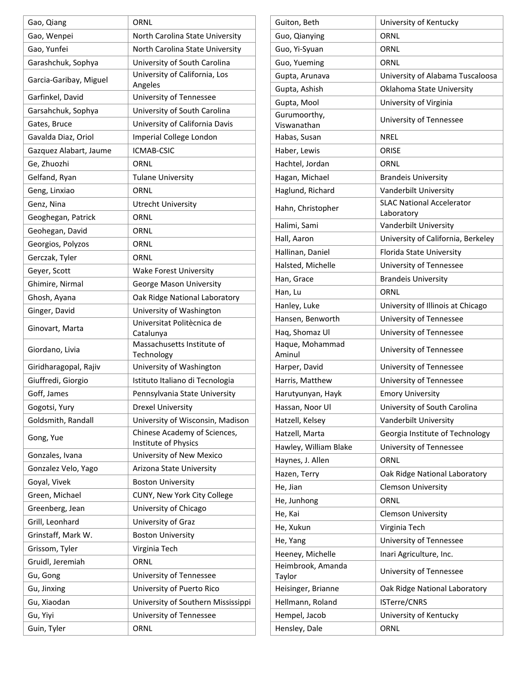| Gao, Qiang             | ORNL                                     |
|------------------------|------------------------------------------|
| Gao, Wenpei            | North Carolina State University          |
| Gao, Yunfei            | North Carolina State University          |
| Garashchuk, Sophya     | University of South Carolina             |
| Garcia-Garibay, Miguel | University of California, Los<br>Angeles |
| Garfinkel, David       | University of Tennessee                  |
| Garsahchuk, Sophya     | University of South Carolina             |
| Gates, Bruce           | University of California Davis           |
| Gavalda Diaz, Oriol    | Imperial College London                  |
| Gazquez Alabart, Jaume | ICMAB-CSIC                               |
| Ge, Zhuozhi            | ORNL                                     |
| Gelfand, Ryan          | <b>Tulane University</b>                 |
| Geng, Linxiao          | ORNL                                     |
| Genz, Nina             | <b>Utrecht University</b>                |
| Geoghegan, Patrick     | ORNL                                     |
| Geohegan, David        | ORNL                                     |
| Georgios, Polyzos      | ORNL                                     |
| Gerczak, Tyler         | ORNL                                     |
| Geyer, Scott           | <b>Wake Forest University</b>            |
| Ghimire, Nirmal        | George Mason University                  |
| Ghosh, Ayana           | Oak Ridge National Laboratory            |
| Ginger, David          | University of Washington                 |
|                        | Universitat Politècnica de               |
| Ginovart, Marta        | Catalunya                                |
| Giordano, Livia        | Massachusetts Institute of               |
| Giridharagopal, Rajiv  | Technology<br>University of Washington   |
| Giuffredi, Giorgio     | Istituto Italiano di Tecnologia          |
| Goff, James            | Pennsylvania State University            |
|                        | <b>Drexel University</b>                 |
| Gogotsi, Yury          | University of Wisconsin, Madison         |
| Goldsmith, Randall     | Chinese Academy of Sciences,             |
| Gong, Yue              | Institute of Physics                     |
| Gonzales, Ivana        | University of New Mexico                 |
| Gonzalez Velo, Yago    | Arizona State University                 |
| Goyal, Vivek           | <b>Boston University</b>                 |
| Green, Michael         | CUNY, New York City College              |
| Greenberg, Jean        | University of Chicago                    |
| Grill, Leonhard        | University of Graz                       |
| Grinstaff, Mark W.     | <b>Boston University</b>                 |
| Grissom, Tyler         | Virginia Tech                            |
| Gruidl, Jeremiah       | ORNL                                     |
| Gu, Gong               | University of Tennessee                  |
| Gu, Jinxing            | University of Puerto Rico                |
| Gu, Xiaodan            | University of Southern Mississippi       |
| Gu, Yiyi               | University of Tennessee                  |
| Guin, Tyler            | ORNL                                     |
|                        |                                          |

| Guiton, Beth                | University of Kentucky                         |
|-----------------------------|------------------------------------------------|
| Guo, Qianying               | ORNL                                           |
| Guo, Yi-Syuan               | ORNL                                           |
| Guo, Yueming                | ORNL                                           |
| Gupta, Arunava              | University of Alabama Tuscaloosa               |
| Gupta, Ashish               | Oklahoma State University                      |
| Gupta, Mool                 | University of Virginia                         |
| Gurumoorthy,<br>Viswanathan | University of Tennessee                        |
| Habas, Susan                | NREL                                           |
| Haber, Lewis                | ORISE                                          |
| Hachtel, Jordan             | ORNL                                           |
| Hagan, Michael              | <b>Brandeis University</b>                     |
| Haglund, Richard            | Vanderbilt University                          |
| Hahn, Christopher           | <b>SLAC National Accelerator</b><br>Laboratory |
| Halimi, Sami                | Vanderbilt University                          |
| Hall, Aaron                 | University of California, Berkeley             |
| Hallinan, Daniel            | Florida State University                       |
| Halsted, Michelle           | University of Tennessee                        |
| Han, Grace                  | <b>Brandeis University</b>                     |
| Han, Lu                     | ORNL                                           |
| Hanley, Luke                | University of Illinois at Chicago              |
| Hansen, Benworth            | University of Tennessee                        |
| Haq, Shomaz Ul              | University of Tennessee                        |
| Haque, Mohammad<br>Aminul   | University of Tennessee                        |
| Harper, David               | University of Tennessee                        |
| Harris, Matthew             | University of Tennessee                        |
| Harutyunyan, Hayk           | <b>Emory University</b>                        |
| Hassan, Noor Ul             | University of South Carolina                   |
| Hatzell, Kelsey             | Vanderbilt University                          |
| Hatzell, Marta              | Georgia Institute of Technology                |
| Hawley, William Blake       | University of Tennessee                        |
| Haynes, J. Allen            | ORNL                                           |
| Hazen, Terry                | Oak Ridge National Laboratory                  |
| He, Jian                    | <b>Clemson University</b>                      |
| He, Junhong                 | ORNL                                           |
| He, Kai                     | <b>Clemson University</b>                      |
| He, Xukun                   | Virginia Tech                                  |
| He, Yang                    | University of Tennessee                        |
| Heeney, Michelle            | Inari Agriculture, Inc.                        |
| Heimbrook, Amanda<br>Taylor | University of Tennessee                        |
| Heisinger, Brianne          | Oak Ridge National Laboratory                  |
| Hellmann, Roland            | ISTerre/CNRS                                   |
| Hempel, Jacob               | University of Kentucky                         |
| Hensley, Dale               | ORNL                                           |
|                             |                                                |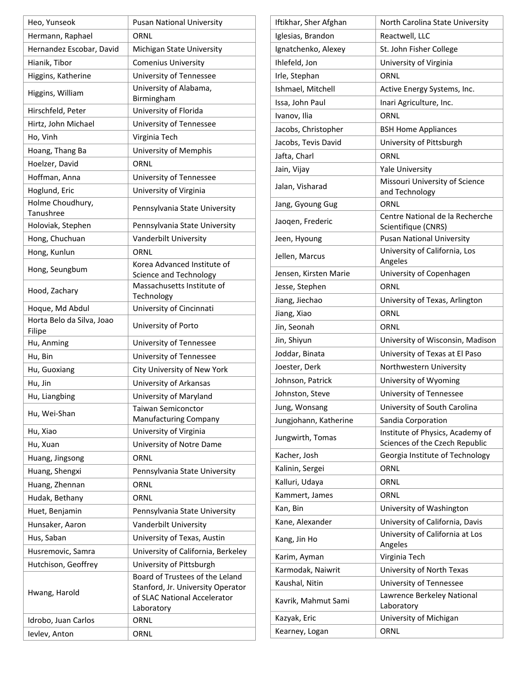| Heo, Yunseok                        | <b>Pusan National University</b>                                                                                   |
|-------------------------------------|--------------------------------------------------------------------------------------------------------------------|
| Hermann, Raphael                    | ORNL                                                                                                               |
| Hernandez Escobar, David            | Michigan State University                                                                                          |
| Hianik, Tibor                       | <b>Comenius University</b>                                                                                         |
| Higgins, Katherine                  | University of Tennessee                                                                                            |
| Higgins, William                    | University of Alabama,                                                                                             |
|                                     | Birmingham                                                                                                         |
| Hirschfeld, Peter                   | University of Florida                                                                                              |
| Hirtz, John Michael                 | University of Tennessee                                                                                            |
| Ho, Vinh                            | Virginia Tech                                                                                                      |
| Hoang, Thang Ba                     | University of Memphis                                                                                              |
| Hoelzer, David                      | ORNL                                                                                                               |
| Hoffman, Anna                       | University of Tennessee                                                                                            |
| Hoglund, Eric                       | University of Virginia                                                                                             |
| Holme Choudhury,<br>Tanushree       | Pennsylvania State University                                                                                      |
| Holoviak, Stephen                   | Pennsylvania State University                                                                                      |
| Hong, Chuchuan                      | Vanderbilt University                                                                                              |
| Hong, Kunlun                        | ORNL                                                                                                               |
| Hong, Seungbum                      | Korea Advanced Institute of                                                                                        |
|                                     | Science and Technology<br>Massachusetts Institute of                                                               |
| Hood, Zachary                       | Technology                                                                                                         |
| Hoque, Md Abdul                     | University of Cincinnati                                                                                           |
| Horta Belo da Silva, Joao<br>Filipe | University of Porto                                                                                                |
| Hu, Anming                          | University of Tennessee                                                                                            |
| Hu, Bin                             | University of Tennessee                                                                                            |
| Hu, Guoxiang                        | City University of New York                                                                                        |
| Hu, Jin                             | University of Arkansas                                                                                             |
| Hu, Liangbing                       | University of Maryland                                                                                             |
| Hu, Wei-Shan                        | <b>Taiwan Semiconctor</b>                                                                                          |
|                                     | Manufacturing Company                                                                                              |
| Hu, Xiao                            | University of Virginia                                                                                             |
| Hu, Xuan                            | University of Notre Dame                                                                                           |
| Huang, Jingsong                     | ORNL                                                                                                               |
| Huang, Shengxi                      | Pennsylvania State University                                                                                      |
| Huang, Zhennan                      | ORNL                                                                                                               |
| Hudak, Bethany                      | ORNL                                                                                                               |
| Huet, Benjamin                      | Pennsylvania State University                                                                                      |
| Hunsaker, Aaron                     | Vanderbilt University                                                                                              |
| Hus, Saban                          | University of Texas, Austin                                                                                        |
| Husremovic, Samra                   | University of California, Berkeley                                                                                 |
| Hutchison, Geoffrey                 | University of Pittsburgh                                                                                           |
| Hwang, Harold                       | Board of Trustees of the Leland<br>Stanford, Jr. University Operator<br>of SLAC National Accelerator<br>Laboratory |
| Idrobo, Juan Carlos                 | ORNL                                                                                                               |
| Ievlev, Anton                       | ORNL                                                                                                               |

| Iftikhar, Sher Afghan | North Carolina State University                                    |
|-----------------------|--------------------------------------------------------------------|
| Iglesias, Brandon     | Reactwell, LLC                                                     |
| Ignatchenko, Alexey   | St. John Fisher College                                            |
| Ihlefeld, Jon         | University of Virginia                                             |
| Irle, Stephan         | ORNL                                                               |
| Ishmael, Mitchell     | Active Energy Systems, Inc.                                        |
| Issa, John Paul       | Inari Agriculture, Inc.                                            |
| Ivanov, Ilia          | ORNL                                                               |
| Jacobs, Christopher   | <b>BSH Home Appliances</b>                                         |
| Jacobs, Tevis David   | University of Pittsburgh                                           |
| Jafta, Charl          | ORNL                                                               |
| Jain, Vijay           | <b>Yale University</b>                                             |
| Jalan, Visharad       | Missouri University of Science<br>and Technology                   |
| Jang, Gyoung Gug      | ORNL                                                               |
| Jaoqen, Frederic      | Centre National de la Recherche<br>Scientifique (CNRS)             |
| Jeen, Hyoung          | <b>Pusan National University</b>                                   |
| Jellen, Marcus        | University of California, Los<br>Angeles                           |
| Jensen, Kirsten Marie | University of Copenhagen                                           |
| Jesse, Stephen        | ORNL                                                               |
| Jiang, Jiechao        | University of Texas, Arlington                                     |
| Jiang, Xiao           | ORNL                                                               |
| Jin, Seonah           | ORNL                                                               |
| Jin, Shiyun           | University of Wisconsin, Madison                                   |
| Joddar, Binata        | University of Texas at El Paso                                     |
| Joester, Derk         | Northwestern University                                            |
| Johnson, Patrick      | University of Wyoming                                              |
| Johnston, Steve       | University of Tennessee                                            |
| Jung, Wonsang         | University of South Carolina                                       |
| Jungjohann, Katherine | Sandia Corporation                                                 |
| Jungwirth, Tomas      | Institute of Physics, Academy of<br>Sciences of the Czech Republic |
| Kacher, Josh          | Georgia Institute of Technology                                    |
| Kalinin, Sergei       | ORNL                                                               |
| Kalluri, Udaya        | ORNL                                                               |
| Kammert, James        | ORNL                                                               |
| Kan, Bin              | University of Washington                                           |
| Kane, Alexander       | University of California, Davis                                    |
| Kang, Jin Ho          | University of California at Los<br>Angeles                         |
| Karim, Ayman          | Virginia Tech                                                      |
| Karmodak, Naiwrit     | University of North Texas                                          |
| Kaushal, Nitin        | University of Tennessee                                            |
| Kavrik, Mahmut Sami   | Lawrence Berkeley National<br>Laboratory                           |
| Kazyak, Eric          | University of Michigan                                             |
| Kearney, Logan        | ORNL                                                               |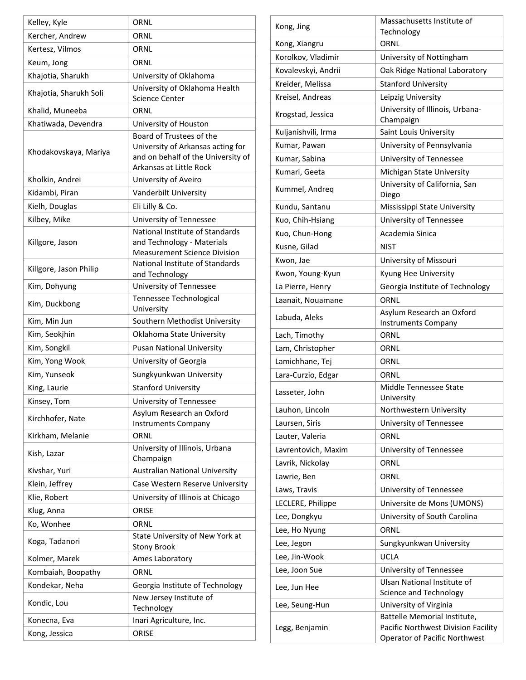| Kelley, Kyle           | ORNL                                                                                                                           |
|------------------------|--------------------------------------------------------------------------------------------------------------------------------|
| Kercher, Andrew        | ORNL                                                                                                                           |
| Kertesz, Vilmos        | ORNL                                                                                                                           |
| Keum, Jong             | ORNL                                                                                                                           |
| Khajotia, Sharukh      | University of Oklahoma                                                                                                         |
| Khajotia, Sharukh Soli | University of Oklahoma Health<br><b>Science Center</b>                                                                         |
| Khalid, Muneeba        | ORNL                                                                                                                           |
| Khatiwada, Devendra    | University of Houston                                                                                                          |
| Khodakovskaya, Mariya  | Board of Trustees of the<br>University of Arkansas acting for<br>and on behalf of the University of<br>Arkansas at Little Rock |
| Kholkin, Andrei        | University of Aveiro                                                                                                           |
| Kidambi, Piran         | Vanderbilt University                                                                                                          |
| Kielh, Douglas         | Eli Lilly & Co.                                                                                                                |
| Kilbey, Mike           | University of Tennessee                                                                                                        |
| Killgore, Jason        | National Institute of Standards<br>and Technology - Materials<br><b>Measurement Science Division</b>                           |
| Killgore, Jason Philip | National Institute of Standards<br>and Technology                                                                              |
| Kim, Dohyung           | University of Tennessee                                                                                                        |
| Kim, Duckbong          | Tennessee Technological<br>University                                                                                          |
| Kim, Min Jun           | Southern Methodist University                                                                                                  |
| Kim, Seokjhin          | Oklahoma State University                                                                                                      |
| Kim, Songkil           | <b>Pusan National University</b>                                                                                               |
| Kim, Yong Wook         | University of Georgia                                                                                                          |
| Kim, Yunseok           | Sungkyunkwan University                                                                                                        |
| King, Laurie           | <b>Stanford University</b>                                                                                                     |
| Kinsey, Tom            | University of Tennessee                                                                                                        |
| Kirchhofer, Nate       | Asylum Research an Oxford<br><b>Instruments Company</b>                                                                        |
| Kirkham, Melanie       | ORNL                                                                                                                           |
| Kish, Lazar            | University of Illinois, Urbana<br>Champaign                                                                                    |
| Kivshar, Yuri          | <b>Australian National University</b>                                                                                          |
| Klein, Jeffrey         | Case Western Reserve University                                                                                                |
| Klie, Robert           | University of Illinois at Chicago                                                                                              |
| Klug, Anna             | ORISE                                                                                                                          |
| Ko, Wonhee             | ORNL                                                                                                                           |
| Koga, Tadanori         | State University of New York at<br><b>Stony Brook</b>                                                                          |
| Kolmer, Marek          | Ames Laboratory                                                                                                                |
| Kombaiah, Boopathy     | ORNL                                                                                                                           |
| Kondekar, Neha         | Georgia Institute of Technology                                                                                                |
| Kondic, Lou            | New Jersey Institute of<br>Technology                                                                                          |
| Konecna, Eva           | Inari Agriculture, Inc.                                                                                                        |
| Kong, Jessica          | ORISE                                                                                                                          |
|                        |                                                                                                                                |

| Kong, Jing          | Massachusetts Institute of<br>Technology                                                             |
|---------------------|------------------------------------------------------------------------------------------------------|
| Kong, Xiangru       | ORNL                                                                                                 |
| Korolkov, Vladimir  | University of Nottingham                                                                             |
| Kovalevskyi, Andrii | Oak Ridge National Laboratory                                                                        |
| Kreider, Melissa    | <b>Stanford University</b>                                                                           |
| Kreisel, Andreas    | Leipzig University                                                                                   |
| Krogstad, Jessica   | University of Illinois, Urbana-<br>Champaign                                                         |
| Kuljanishvili, Irma | Saint Louis University                                                                               |
| Kumar, Pawan        | University of Pennsylvania                                                                           |
| Kumar, Sabina       | University of Tennessee                                                                              |
| Kumari, Geeta       | Michigan State University                                                                            |
| Kummel, Andreq      | University of California, San<br>Diego                                                               |
| Kundu, Santanu      | Mississippi State University                                                                         |
| Kuo, Chih-Hsiang    | University of Tennessee                                                                              |
| Kuo, Chun-Hong      | Academia Sinica                                                                                      |
| Kusne, Gilad        | NIST                                                                                                 |
| Kwon, Jae           | University of Missouri                                                                               |
| Kwon, Young-Kyun    | Kyung Hee University                                                                                 |
| La Pierre, Henry    | Georgia Institute of Technology                                                                      |
| Laanait, Nouamane   | ORNL                                                                                                 |
| Labuda, Aleks       | Asylum Research an Oxford<br><b>Instruments Company</b>                                              |
| Lach, Timothy       | ORNL                                                                                                 |
| Lam, Christopher    | ORNL                                                                                                 |
| Lamichhane, Tej     | ORNL                                                                                                 |
| Lara-Curzio, Edgar  | ORNL                                                                                                 |
| Lasseter, John      | Middle Tennessee State<br>University                                                                 |
| Lauhon, Lincoln     | Northwestern University                                                                              |
| Laursen, Siris      | University of Tennessee                                                                              |
| Lauter, Valeria     | ORNL                                                                                                 |
| Lavrentovich, Maxim | University of Tennessee                                                                              |
| Lavrik, Nickolay    | ORNL                                                                                                 |
| Lawrie, Ben         | ORNL                                                                                                 |
| Laws, Travis        | University of Tennessee                                                                              |
| LECLERE, Philippe   | Universite de Mons (UMONS)                                                                           |
| Lee, Dongkyu        | University of South Carolina                                                                         |
| Lee, Ho Nyung       | ORNL                                                                                                 |
| Lee, Jegon          | Sungkyunkwan University                                                                              |
| Lee, Jin-Wook       | UCLA                                                                                                 |
| Lee, Joon Sue       | University of Tennessee                                                                              |
| Lee, Jun Hee        | Ulsan National Institute of<br>Science and Technology                                                |
| Lee, Seung-Hun      | University of Virginia                                                                               |
| Legg, Benjamin      | Battelle Memorial Institute,<br>Pacific Northwest Division Facility<br>Operator of Pacific Northwest |

h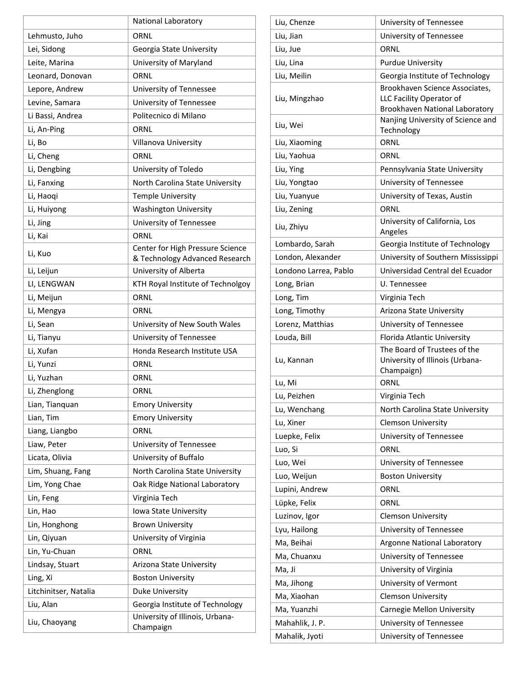|                       | National Laboratory                                                |
|-----------------------|--------------------------------------------------------------------|
| Lehmusto, Juho        | ORNL                                                               |
| Lei, Sidong           | Georgia State University                                           |
| Leite, Marina         | University of Maryland                                             |
| Leonard, Donovan      | ORNL                                                               |
| Lepore, Andrew        | University of Tennessee                                            |
| Levine, Samara        | University of Tennessee                                            |
| Li Bassi, Andrea      | Politecnico di Milano                                              |
| Li, An-Ping           | ORNL                                                               |
| Li, Bo                | Villanova University                                               |
| Li, Cheng             | ORNL                                                               |
| Li, Dengbing          | University of Toledo                                               |
| Li, Fanxing           | North Carolina State University                                    |
| Li, Haoqi             | <b>Temple University</b>                                           |
| Li, Huiyong           | <b>Washington University</b>                                       |
| Li, Jing              | University of Tennessee                                            |
| Li, Kai               | ORNL                                                               |
| Li, Kuo               | Center for High Pressure Science<br>& Technology Advanced Research |
| Li, Leijun            | University of Alberta                                              |
| LI, LENGWAN           | KTH Royal Institute of Technolgoy                                  |
| Li, Meijun            | ORNL                                                               |
| Li, Mengya            | ORNL                                                               |
| Li, Sean              | University of New South Wales                                      |
| Li, Tianyu            | University of Tennessee                                            |
| Li, Xufan             | Honda Research Institute USA                                       |
| Li, Yunzi             | ORNL                                                               |
| Li, Yuzhan            | ORNL                                                               |
| Li, Zhenglong         | ORNL                                                               |
| Lian, Tianquan        | <b>Emory University</b>                                            |
| Lian, Tim             | <b>Emory University</b>                                            |
| Liang, Liangbo        | ORNL                                                               |
| Liaw, Peter           | University of Tennessee                                            |
| Licata, Olivia        | University of Buffalo                                              |
| Lim, Shuang, Fang     | North Carolina State University                                    |
| Lim, Yong Chae        | Oak Ridge National Laboratory                                      |
| Lin, Feng             | Virginia Tech                                                      |
| Lin, Hao              | Iowa State University                                              |
| Lin, Honghong         | <b>Brown University</b>                                            |
| Lin, Qiyuan           | University of Virginia                                             |
| Lin, Yu-Chuan         | ORNL                                                               |
| Lindsay, Stuart       | Arizona State University                                           |
| Ling, Xi              | <b>Boston University</b>                                           |
| Litchinitser, Natalia | Duke University                                                    |
| Liu, Alan             | Georgia Institute of Technology                                    |
| Liu, Chaoyang         | University of Illinois, Urbana-<br>Champaign                       |

| Liu, Chenze                       | University of Tennessee                            |
|-----------------------------------|----------------------------------------------------|
| Liu, Jian                         | University of Tennessee                            |
| Liu, Jue                          | ORNL                                               |
| Liu, Lina                         | <b>Purdue University</b>                           |
| Liu, Meilin                       | Georgia Institute of Technology                    |
|                                   | Brookhaven Science Associates,                     |
| Liu, Mingzhao                     | LLC Facility Operator of                           |
|                                   | <b>Brookhaven National Laboratory</b>              |
| Liu, Wei                          | Nanjing University of Science and<br>Technology    |
| Liu, Xiaoming                     | ORNL                                               |
| Liu, Yaohua                       | ORNL                                               |
| Liu, Ying                         | Pennsylvania State University                      |
| Liu, Yongtao                      | University of Tennessee                            |
| Liu, Yuanyue                      | University of Texas, Austin                        |
| Liu, Zening                       | ORNL                                               |
|                                   | University of California, Los                      |
| Liu, Zhiyu                        | Angeles                                            |
| Lombardo, Sarah                   | Georgia Institute of Technology                    |
| London, Alexander                 | University of Southern Mississippi                 |
| Londono Larrea, Pablo             | Universidad Central del Ecuador                    |
| Long, Brian                       | U. Tennessee                                       |
| Long, Tim                         | Virginia Tech                                      |
| Long, Timothy                     | Arizona State University                           |
| Lorenz, Matthias                  | University of Tennessee                            |
| Louda, Bill                       | Florida Atlantic University                        |
|                                   | The Board of Trustees of the                       |
| Lu, Kannan                        | University of Illinois (Urbana-                    |
|                                   | Champaign)                                         |
| Lu, Mi                            | ORNL                                               |
| Lu, Peizhen                       | Virginia Tech                                      |
| Lu, Wenchang                      | North Carolina State University                    |
| Lu, Xiner                         | <b>Clemson University</b>                          |
| Luepke, Felix                     | University of Tennessee                            |
|                                   |                                                    |
| Luo, Si                           | ORNL                                               |
| Luo, Wei                          | University of Tennessee                            |
| Luo, Weijun                       | <b>Boston University</b>                           |
| Lupini, Andrew                    | ORNL                                               |
| Lüpke, Felix                      | ORNL                                               |
| Luzinov, Igor                     | <b>Clemson University</b>                          |
| Lyu, Hailong                      | University of Tennessee                            |
| Ma, Beihai                        | Argonne National Laboratory                        |
| Ma, Chuanxu                       | University of Tennessee                            |
|                                   |                                                    |
| Ma, Ji                            | University of Virginia                             |
| Ma, Jihong                        | University of Vermont                              |
| Ma, Xiaohan                       | <b>Clemson University</b>                          |
| Ma, Yuanzhi                       | Carnegie Mellon University                         |
| Mahahlik, J. P.<br>Mahalik, Jyoti | University of Tennessee<br>University of Tennessee |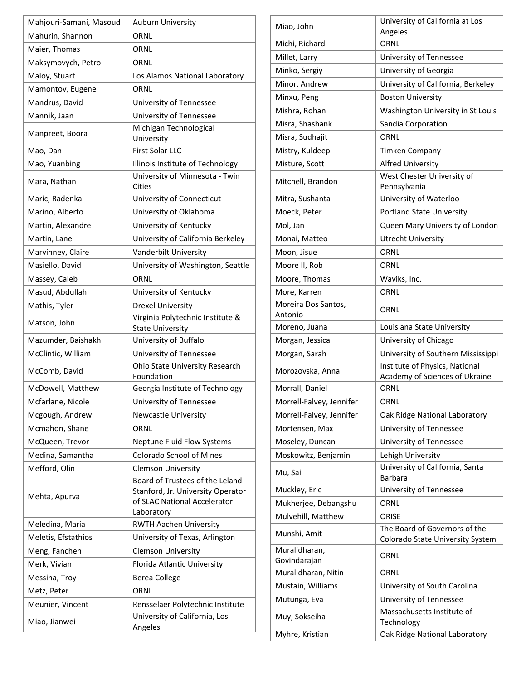| Mahjouri-Samani, Masoud | <b>Auburn University</b>                                                                                           |
|-------------------------|--------------------------------------------------------------------------------------------------------------------|
| Mahurin, Shannon        | ORNL                                                                                                               |
| Maier, Thomas           | ORNL                                                                                                               |
| Maksymovych, Petro      | ORNL                                                                                                               |
| Maloy, Stuart           | Los Alamos National Laboratory                                                                                     |
| Mamontov, Eugene        | ORNL                                                                                                               |
| Mandrus, David          | University of Tennessee                                                                                            |
| Mannik, Jaan            | University of Tennessee                                                                                            |
| Manpreet, Boora         | Michigan Technological<br>University                                                                               |
| Mao, Dan                | First Solar LLC                                                                                                    |
| Mao, Yuanbing           | Illinois Institute of Technology                                                                                   |
| Mara, Nathan            | University of Minnesota - Twin<br>Cities                                                                           |
| Maric, Radenka          | University of Connecticut                                                                                          |
| Marino, Alberto         | University of Oklahoma                                                                                             |
| Martin, Alexandre       | University of Kentucky                                                                                             |
| Martin, Lane            | University of California Berkeley                                                                                  |
| Marvinney, Claire       | Vanderbilt University                                                                                              |
| Masiello, David         | University of Washington, Seattle                                                                                  |
| Massey, Caleb           | ORNL                                                                                                               |
| Masud, Abdullah         | University of Kentucky                                                                                             |
| Mathis, Tyler           | <b>Drexel University</b>                                                                                           |
| Matson, John            | Virginia Polytechnic Institute &<br><b>State University</b>                                                        |
| Mazumder, Baishakhi     | University of Buffalo                                                                                              |
| McClintic, William      | University of Tennessee                                                                                            |
| McComb, David           | Ohio State University Research<br>Foundation                                                                       |
| McDowell, Matthew       | Georgia Institute of Technology                                                                                    |
| Mcfarlane, Nicole       | University of Tennessee                                                                                            |
| Mcgough, Andrew         | <b>Newcastle University</b>                                                                                        |
| Mcmahon, Shane          | ORNL                                                                                                               |
| McQueen, Trevor         | <b>Neptune Fluid Flow Systems</b>                                                                                  |
| Medina, Samantha        | <b>Colorado School of Mines</b>                                                                                    |
| Mefford, Olin           | <b>Clemson University</b>                                                                                          |
| Mehta, Apurva           | Board of Trustees of the Leland<br>Stanford, Jr. University Operator<br>of SLAC National Accelerator<br>Laboratory |
| Meledina, Maria         | RWTH Aachen University                                                                                             |
| Meletis, Efstathios     | University of Texas, Arlington                                                                                     |
| Meng, Fanchen           | <b>Clemson University</b>                                                                                          |
| Merk, Vivian            | Florida Atlantic University                                                                                        |
| Messina, Troy           | Berea College                                                                                                      |
| Metz, Peter             | ORNL                                                                                                               |
| Meunier, Vincent        | Rensselaer Polytechnic Institute                                                                                   |
| Miao, Jianwei           | University of California, Los<br>Angeles                                                                           |

| Miao, John                     | University of California at Los                                   |
|--------------------------------|-------------------------------------------------------------------|
| Michi, Richard                 | Angeles<br>ORNL                                                   |
| Millet, Larry                  | University of Tennessee                                           |
| Minko, Sergiy                  | University of Georgia                                             |
| Minor, Andrew                  | University of California, Berkeley                                |
|                                |                                                                   |
| Minxu, Peng                    | <b>Boston University</b>                                          |
| Mishra, Rohan                  | Washington University in St Louis                                 |
| Misra, Shashank                | Sandia Corporation                                                |
| Misra, Sudhajit                | ORNL                                                              |
| Mistry, Kuldeep                | <b>Timken Company</b>                                             |
| Misture, Scott                 | <b>Alfred University</b>                                          |
| Mitchell, Brandon              | West Chester University of<br>Pennsylvania                        |
| Mitra, Sushanta                | University of Waterloo                                            |
| Moeck, Peter                   | <b>Portland State University</b>                                  |
| Mol, Jan                       | Queen Mary University of London                                   |
| Monai, Matteo                  | <b>Utrecht University</b>                                         |
| Moon, Jisue                    | ORNL                                                              |
| Moore II, Rob                  | ORNL                                                              |
| Moore, Thomas                  | Waviks, Inc.                                                      |
| More, Karren                   | ORNL                                                              |
| Moreira Dos Santos,<br>Antonio | ORNL                                                              |
| Moreno, Juana                  | Louisiana State University                                        |
| Morgan, Jessica                | University of Chicago                                             |
| Morgan, Sarah                  | University of Southern Mississippi                                |
| Morozovska, Anna               | Institute of Physics, National<br>Academy of Sciences of Ukraine  |
| Morrall, Daniel                | ORNL                                                              |
| Morrell-Falvey, Jennifer       | ORNI                                                              |
| Morrell-Falvey, Jennifer       | Oak Ridge National Laboratory                                     |
| Mortensen, Max                 | University of Tennessee                                           |
| Moseley, Duncan                | University of Tennessee                                           |
| Moskowitz, Benjamin            | Lehigh University                                                 |
| Mu, Sai                        | University of California, Santa<br>Barbara                        |
| Muckley, Eric                  | University of Tennessee                                           |
| Mukherjee, Debangshu           | ORNL                                                              |
| Mulvehill, Matthew             | ORISE                                                             |
| Munshi, Amit                   | The Board of Governors of the<br>Colorado State University System |
| Muralidharan,                  |                                                                   |
| Govindarajan                   | ORNL                                                              |
| Muralidharan, Nitin            | ORNL                                                              |
| Mustain, Williams              | University of South Carolina                                      |
| Mutunga, Eva                   | University of Tennessee                                           |
| Muy, Sokseiha                  | Massachusetts Institute of<br>Technology                          |
| Myhre, Kristian                | Oak Ridge National Laboratory                                     |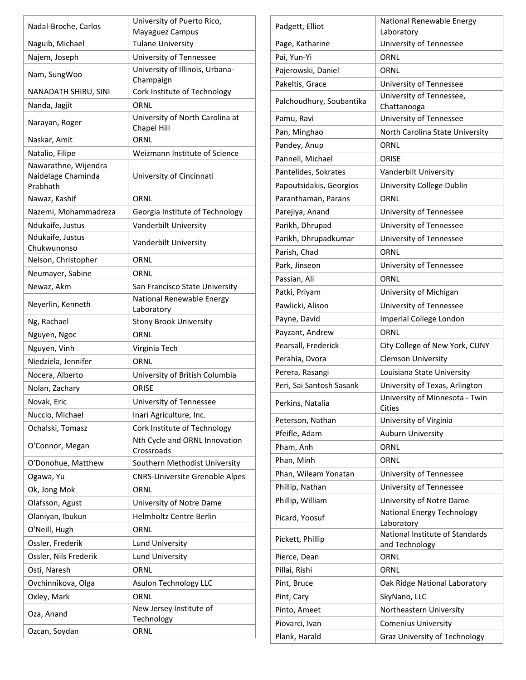| Nadal-Broche, Carlos                                   | University of Puerto Rico,<br>Mayaguez Campus |
|--------------------------------------------------------|-----------------------------------------------|
| Naguib, Michael                                        | <b>Tulane University</b>                      |
| Najem, Joseph                                          | University of Tennessee                       |
| Nam, SungWoo                                           | University of Illinois, Urbana-<br>Champaign  |
| NANADATH SHIBU, SINI                                   | Cork Institute of Technology                  |
| Nanda, Jagjit                                          | ORNL                                          |
| Narayan, Roger                                         | University of North Carolina at               |
|                                                        | Chapel Hill                                   |
| Naskar, Amit                                           | ORNL                                          |
| Natalio, Filipe                                        | Weizmann Institute of Science                 |
| Nawarathne, Wijendra<br>Naidelage Chaminda<br>Prabhath | University of Cincinnati                      |
| Nawaz, Kashif                                          | ORNL                                          |
| Nazemi, Mohammadreza                                   | Georgia Institute of Technology               |
| Ndukaife, Justus                                       | Vanderbilt University                         |
| Ndukaife, Justus<br>Chukwunonso                        | Vanderbilt University                         |
| Nelson, Christopher                                    | ORNL                                          |
| Neumayer, Sabine                                       | ORNL                                          |
| Newaz, Akm                                             | San Francisco State University                |
| Neyerlin, Kenneth                                      | National Renewable Energy<br>Laboratory       |
| Ng, Rachael                                            | <b>Stony Brook University</b>                 |
| Nguyen, Ngoc                                           | ORNL                                          |
| Nguyen, Vinh                                           | Virginia Tech                                 |
| Niedziela, Jennifer                                    | ORNL                                          |
| Nocera, Alberto                                        | University of British Columbia                |
| Nolan, Zachary                                         | ORISE                                         |
| Novak, Eric                                            | University of Tennessee                       |
| Nuccio, Michael                                        | Inari Agriculture, Inc.                       |
| Ochalski, Tomasz                                       | Cork Institute of Technology                  |
| O'Connor, Megan                                        | Nth Cycle and ORNL Innovation<br>Crossroads   |
| O'Donohue, Matthew                                     | Southern Methodist University                 |
| Ogawa, Yu                                              | <b>CNRS-Universite Grenoble Alpes</b>         |
| Ok, Jong Mok                                           | ORNL                                          |
| Olafsson, Agust                                        | University of Notre Dame                      |
| Olaniyan, Ibukun                                       | <b>Helmholtz Centre Berlin</b>                |
| O'Neill, Hugh                                          | ORNL                                          |
| Ossler, Frederik                                       | <b>Lund University</b>                        |
| Ossler, Nils Frederik                                  | Lund University                               |
| Osti, Naresh                                           | ORNL                                          |
| Ovchinnikova, Olga                                     | Asulon Technology LLC                         |
| Oxley, Mark                                            | ORNL                                          |
| Oza, Anand                                             | New Jersey Institute of<br>Technology         |
| Ozcan, Soydan                                          | ORNL                                          |

| Padgett, Elliot          | National Renewable Energy<br>Laboratory           |
|--------------------------|---------------------------------------------------|
| Page, Katharine          | University of Tennessee                           |
| Pai, Yun-Yi              | ORNL                                              |
| Pajerowski, Daniel       | ORNL                                              |
| Pakeltis, Grace          | University of Tennessee                           |
| Palchoudhury, Soubantika | University of Tennessee,<br>Chattanooga           |
| Pamu, Ravi               | University of Tennessee                           |
| Pan, Minghao             | North Carolina State University                   |
| Pandey, Anup             | ORNL                                              |
| Pannell, Michael         | ORISE                                             |
| Pantelides, Sokrates     | Vanderbilt University                             |
| Papoutsidakis, Georgios  | University College Dublin                         |
| Paranthaman, Parans      | ORNL                                              |
| Parejiya, Anand          | University of Tennessee                           |
| Parikh, Dhrupad          | University of Tennessee                           |
| Parikh, Dhrupadkumar     | University of Tennessee                           |
| Parish, Chad             | ORNL                                              |
| Park, Jinseon            | University of Tennessee                           |
| Passian, Ali             | ORNL                                              |
| Patki, Priyam            | University of Michigan                            |
| Pawlicki, Alison         | University of Tennessee                           |
| Payne, David             | Imperial College London                           |
| Payzant, Andrew          | ORNL                                              |
| Pearsall, Frederick      | City College of New York, CUNY                    |
| Perahia, Dvora           | <b>Clemson University</b>                         |
| Perera, Rasangi          | Louisiana State University                        |
| Peri, Sai Santosh Sasank | University of Texas, Arlington                    |
| Perkins, Natalia         | University of Minnesota - Twin<br>Cities          |
| Peterson, Nathan         | University of Virginia                            |
| Pfeifle, Adam            | <b>Auburn University</b>                          |
| Pham, Anh                | ORNL                                              |
| Phan, Minh               | ORNL                                              |
| Phan, Wileam Yonatan     | University of Tennessee                           |
| Phillip, Nathan          | University of Tennessee                           |
| Phillip, William         | University of Notre Dame                          |
| Picard, Yoosuf           | National Energy Technology<br>Laboratory          |
| Pickett, Phillip         | National Institute of Standards<br>and Technology |
| Pierce, Dean             | ORNL                                              |
| Pillai, Rishi            | ORNL                                              |
| Pint, Bruce              | Oak Ridge National Laboratory                     |
| Pint, Cary               | SkyNano, LLC                                      |
| Pinto, Ameet             | Northeastern University                           |
| Piovarci, Ivan           | <b>Comenius University</b>                        |
| Plank, Harald            | Graz University of Technology                     |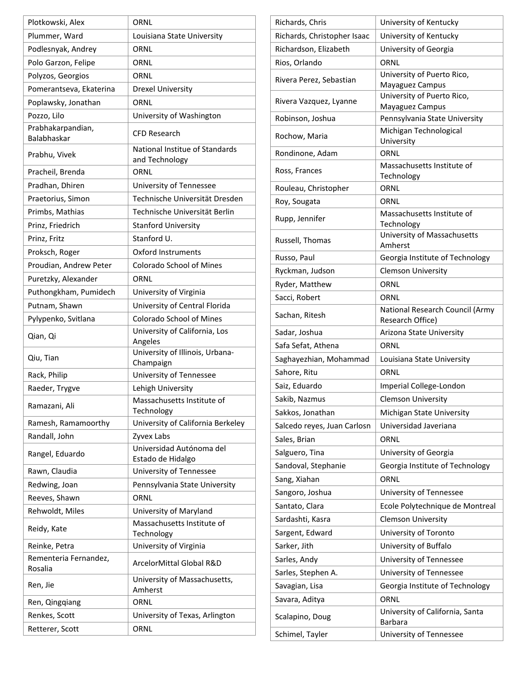| Plotkowski, Alex                 | ORNL                                             |
|----------------------------------|--------------------------------------------------|
| Plummer, Ward                    | Louisiana State University                       |
| Podlesnyak, Andrey               | ORNL                                             |
| Polo Garzon, Felipe              | ORNL                                             |
| Polyzos, Georgios                | ORNL                                             |
| Pomerantseva, Ekaterina          | <b>Drexel University</b>                         |
| Poplawsky, Jonathan              | ORNL                                             |
| Pozzo, Lilo                      | University of Washington                         |
| Prabhakarpandian,<br>Balabhaskar | CFD Research                                     |
| Prabhu, Vivek                    | National Institue of Standards<br>and Technology |
| Pracheil, Brenda                 | ORNL                                             |
| Pradhan, Dhiren                  | University of Tennessee                          |
| Praetorius, Simon                | Technische Universität Dresden                   |
| Primbs, Mathias                  | Technische Universität Berlin                    |
| Prinz, Friedrich                 | <b>Stanford University</b>                       |
| Prinz, Fritz                     | Stanford U.                                      |
| Proksch, Roger                   | <b>Oxford Instruments</b>                        |
| Proudian, Andrew Peter           | <b>Colorado School of Mines</b>                  |
| Puretzky, Alexander              | ORNL                                             |
| Puthongkham, Pumidech            | University of Virginia                           |
| Putnam, Shawn                    | University of Central Florida                    |
| Pylypenko, Svitlana              | <b>Colorado School of Mines</b>                  |
| Qian, Qi                         | University of California, Los<br>Angeles         |
| Qiu, Tian                        | University of Illinois, Urbana-<br>Champaign     |
| Rack, Philip                     | University of Tennessee                          |
| Raeder, Trygve                   | Lehigh University                                |
| Ramazani, Ali                    | Massachusetts Institute of<br>Technology         |
| Ramesh, Ramamoorthy              | University of California Berkeley                |
| Randall, John                    | Zyvex Labs                                       |
| Rangel, Eduardo                  | Universidad Autónoma del<br>Estado de Hidalgo    |
| Rawn, Claudia                    | University of Tennessee                          |
| Redwing, Joan                    | Pennsylvania State University                    |
| Reeves, Shawn                    | ORNL                                             |
| Rehwoldt, Miles                  | University of Maryland                           |
| Reidy, Kate                      | Massachusetts Institute of<br>Technology         |
| Reinke, Petra                    | University of Virginia                           |
| Rementeria Fernandez,            | ArcelorMittal Global R&D                         |
| Rosalia                          |                                                  |
| Ren, Jie                         | University of Massachusetts,<br>Amherst          |
| Ren, Qingqiang                   | ORNL                                             |
| Renkes, Scott                    | University of Texas, Arlington                   |

| Richards, Chris             | University of Kentucky                              |
|-----------------------------|-----------------------------------------------------|
| Richards, Christopher Isaac | University of Kentucky                              |
| Richardson, Elizabeth       | University of Georgia                               |
| Rios, Orlando               | ORNL                                                |
| Rivera Perez, Sebastian     | University of Puerto Rico,<br>Mayaguez Campus       |
| Rivera Vazquez, Lyanne      | University of Puerto Rico,<br>Mayaguez Campus       |
| Robinson, Joshua            | Pennsylvania State University                       |
| Rochow, Maria               | Michigan Technological<br>University                |
| Rondinone, Adam             | ORNL                                                |
| Ross, Frances               | Massachusetts Institute of<br>Technology            |
| Rouleau, Christopher        | ORNL                                                |
| Roy, Sougata                | ORNL                                                |
|                             | Massachusetts Institute of                          |
| Rupp, Jennifer              | Technology                                          |
| Russell, Thomas             | University of Massachusetts<br>Amherst              |
| Russo, Paul                 | Georgia Institute of Technology                     |
| Ryckman, Judson             | <b>Clemson University</b>                           |
| Ryder, Matthew              | ORNL                                                |
| Sacci, Robert               | ORNL                                                |
| Sachan, Ritesh              | National Research Council (Army<br>Research Office) |
| Sadar, Joshua               | Arizona State University                            |
| Safa Sefat, Athena          | ORNL                                                |
| Saghayezhian, Mohammad      | Louisiana State University                          |
| Sahore, Ritu                | ORNL                                                |
| Saiz, Eduardo               | Imperial College-London                             |
| Sakib, Nazmus               | <b>Clemson University</b>                           |
| Sakkos, Jonathan            | Michigan State University                           |
| Salcedo reyes, Juan Carlosn | Universidad Javeriana                               |
| Sales, Brian                | ORNL                                                |
| Salguero, Tina              | University of Georgia                               |
| Sandoval, Stephanie         | Georgia Institute of Technology                     |
| Sang, Xiahan                | ORNL                                                |
| Sangoro, Joshua             | University of Tennessee                             |
| Santato, Clara              | Ecole Polytechnique de Montreal                     |
| Sardashti, Kasra            | <b>Clemson University</b>                           |
| Sargent, Edward             | University of Toronto                               |
| Sarker, Jith                | University of Buffalo                               |
|                             |                                                     |
| Sarles, Andy                | University of Tennessee                             |
| Sarles, Stephen A.          | University of Tennessee                             |
| Savagian, Lisa              | Georgia Institute of Technology                     |
| Savara, Aditya              | ORNL                                                |
| Scalapino, Doug             | University of California, Santa<br>Barbara          |
| Schimel, Tayler             | University of Tennessee                             |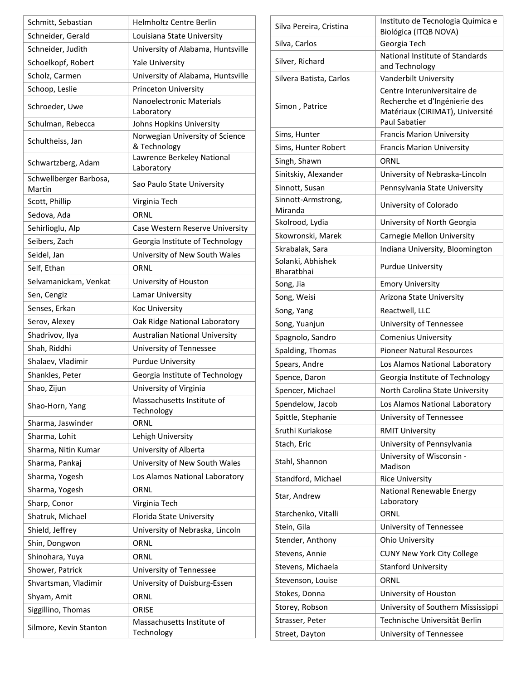| Schmitt, Sebastian               | Helmholtz Centre Berlin                         |
|----------------------------------|-------------------------------------------------|
| Schneider, Gerald                | Louisiana State University                      |
| Schneider, Judith                | University of Alabama, Huntsville               |
| Schoelkopf, Robert               | <b>Yale University</b>                          |
| Scholz, Carmen                   | University of Alabama, Huntsville               |
| Schoop, Leslie                   | Princeton University                            |
| Schroeder, Uwe                   | Nanoelectronic Materials<br>Laboratory          |
| Schulman, Rebecca                | Johns Hopkins University                        |
| Schultheiss, Jan                 | Norwegian University of Science<br>& Technology |
| Schwartzberg, Adam               | Lawrence Berkeley National<br>Laboratory        |
| Schwellberger Barbosa,<br>Martin | Sao Paulo State University                      |
| Scott, Phillip                   | Virginia Tech                                   |
| Sedova, Ada                      | ORNL                                            |
| Sehirlioglu, Alp                 | Case Western Reserve University                 |
| Seibers, Zach                    | Georgia Institute of Technology                 |
| Seidel, Jan                      | University of New South Wales                   |
| Self, Ethan                      | ORNL                                            |
| Selvamanickam, Venkat            | University of Houston                           |
| Sen, Cengiz                      | Lamar University                                |
| Senses, Erkan                    | Koc University                                  |
| Serov, Alexey                    | Oak Ridge National Laboratory                   |
| Shadrivov, Ilya                  | <b>Australian National University</b>           |
| Shah, Riddhi                     | University of Tennessee                         |
| Shalaev, Vladimir                | <b>Purdue University</b>                        |
| Shankles, Peter                  | Georgia Institute of Technology                 |
| Shao, Zijun                      | University of Virginia                          |
| Shao-Horn, Yang                  | Massachusetts Institute of<br>Technology        |
| Sharma, Jaswinder                | ORNL                                            |
| Sharma, Lohit                    | Lehigh University                               |
| Sharma, Nitin Kumar              | University of Alberta                           |
| Sharma, Pankaj                   | University of New South Wales                   |
| Sharma, Yogesh                   | Los Alamos National Laboratory                  |
| Sharma, Yogesh                   | ORNL                                            |
| Sharp, Conor                     | Virginia Tech                                   |
| Shatruk, Michael                 | Florida State University                        |
| Shield, Jeffrey                  | University of Nebraska, Lincoln                 |
| Shin, Dongwon                    | ORNL                                            |
| Shinohara, Yuya                  | ORNL                                            |
| Shower, Patrick                  | University of Tennessee                         |
| Shvartsman, Vladimir             | University of Duisburg-Essen                    |
| Shyam, Amit                      | ORNL                                            |
| Siggillino, Thomas               | ORISE                                           |
| Silmore, Kevin Stanton           | Massachusetts Institute of<br>Technology        |

| Silva Pereira, Cristina         | Instituto de Tecnologia Química e<br>Biológica (ITQB NOVA)                                                               |
|---------------------------------|--------------------------------------------------------------------------------------------------------------------------|
| Silva, Carlos                   | Georgia Tech                                                                                                             |
| Silver, Richard                 | National Institute of Standards<br>and Technology                                                                        |
| Silvera Batista, Carlos         | Vanderbilt University                                                                                                    |
| Simon, Patrice                  | Centre Interuniversitaire de<br>Recherche et d'Ingénierie des<br>Matériaux (CIRIMAT), Université<br><b>Paul Sabatier</b> |
| Sims, Hunter                    | <b>Francis Marion University</b>                                                                                         |
| Sims, Hunter Robert             | <b>Francis Marion University</b>                                                                                         |
| Singh, Shawn                    | ORNL                                                                                                                     |
| Sinitskiy, Alexander            | University of Nebraska-Lincoln                                                                                           |
| Sinnott, Susan                  | Pennsylvania State University                                                                                            |
| Sinnott-Armstrong,<br>Miranda   | University of Colorado                                                                                                   |
| Skolrood, Lydia                 | University of North Georgia                                                                                              |
| Skowronski, Marek               | Carnegie Mellon University                                                                                               |
| Skrabalak, Sara                 | Indiana University, Bloomington                                                                                          |
| Solanki, Abhishek<br>Bharatbhai | <b>Purdue University</b>                                                                                                 |
| Song, Jia                       | <b>Emory University</b>                                                                                                  |
| Song, Weisi                     | Arizona State University                                                                                                 |
| Song, Yang                      | Reactwell, LLC                                                                                                           |
| Song, Yuanjun                   | University of Tennessee                                                                                                  |
| Spagnolo, Sandro                | <b>Comenius University</b>                                                                                               |
| Spalding, Thomas                | <b>Pioneer Natural Resources</b>                                                                                         |
| Spears, Andre                   | Los Alamos National Laboratory                                                                                           |
| Spence, Daron                   | Georgia Institute of Technology                                                                                          |
| Spencer, Michael                | North Carolina State University                                                                                          |
| Spendelow, Jacob                | Los Alamos National Laboratory                                                                                           |
| Spittle, Stephanie              | University of Tennessee                                                                                                  |
| Sruthi Kuriakose                | <b>RMIT University</b>                                                                                                   |
| Stach, Eric                     | University of Pennsylvania                                                                                               |
| Stahl, Shannon                  | University of Wisconsin -<br>Madison                                                                                     |
| Standford, Michael              | <b>Rice University</b>                                                                                                   |
| Star, Andrew                    | National Renewable Energy<br>Laboratory                                                                                  |
| Starchenko, Vitalli             | ORNL                                                                                                                     |
| Stein, Gila                     | University of Tennessee                                                                                                  |
| Stender, Anthony                | <b>Ohio University</b>                                                                                                   |
| Stevens, Annie                  | <b>CUNY New York City College</b>                                                                                        |
| Stevens, Michaela               | <b>Stanford University</b>                                                                                               |
| Stevenson, Louise               | ORNL                                                                                                                     |
| Stokes, Donna                   | University of Houston                                                                                                    |
| Storey, Robson                  | University of Southern Mississippi                                                                                       |
| Strasser, Peter                 | Technische Universität Berlin                                                                                            |
| Street, Dayton                  | University of Tennessee                                                                                                  |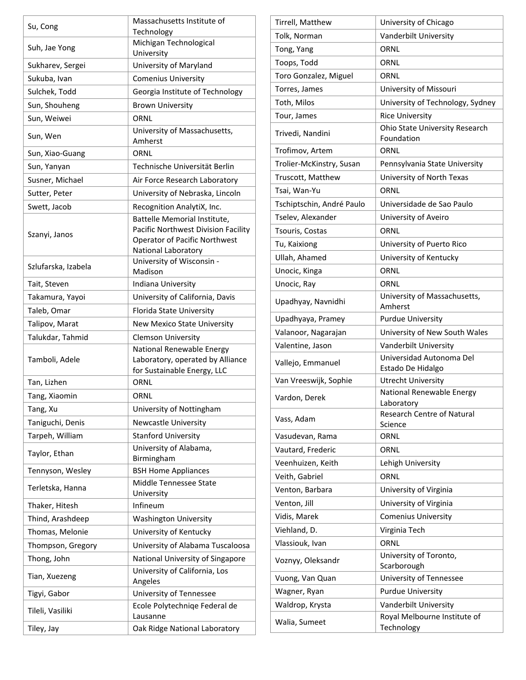| Su, Cong            | Massachusetts Institute of<br>Technology                                                                                           |
|---------------------|------------------------------------------------------------------------------------------------------------------------------------|
| Suh, Jae Yong       | Michigan Technological<br>University                                                                                               |
| Sukharev, Sergei    | University of Maryland                                                                                                             |
| Sukuba, Ivan        | <b>Comenius University</b>                                                                                                         |
| Sulchek, Todd       | Georgia Institute of Technology                                                                                                    |
| Sun, Shouheng       | <b>Brown University</b>                                                                                                            |
| Sun, Weiwei         | ORNL                                                                                                                               |
| Sun, Wen            | University of Massachusetts,<br>Amherst                                                                                            |
| Sun, Xiao-Guang     | ORNL                                                                                                                               |
| Sun, Yanyan         | Technische Universität Berlin                                                                                                      |
| Susner, Michael     | Air Force Research Laboratory                                                                                                      |
| Sutter, Peter       | University of Nebraska, Lincoln                                                                                                    |
| Swett, Jacob        | Recognition AnalytiX, Inc.                                                                                                         |
| Szanyi, Janos       | Battelle Memorial Institute,<br>Pacific Northwest Division Facility<br><b>Operator of Pacific Northwest</b><br>National Laboratory |
| Szlufarska, Izabela | University of Wisconsin -<br>Madison                                                                                               |
| Tait, Steven        | Indiana University                                                                                                                 |
| Takamura, Yayoi     | University of California, Davis                                                                                                    |
| Taleb, Omar         | Florida State University                                                                                                           |
| Talipov, Marat      | <b>New Mexico State University</b>                                                                                                 |
| Talukdar, Tahmid    | <b>Clemson University</b>                                                                                                          |
| Tamboli, Adele      | National Renewable Energy<br>Laboratory, operated by Alliance<br>for Sustainable Energy, LLC                                       |
| Tan, Lizhen         | ORNL                                                                                                                               |
| Tang, Xiaomin       | ORNL                                                                                                                               |
| Tang, Xu            | University of Nottingham                                                                                                           |
| Taniguchi, Denis    | <b>Newcastle University</b>                                                                                                        |
| Tarpeh, William     | <b>Stanford University</b>                                                                                                         |
| Taylor, Ethan       | University of Alabama,<br>Birmingham                                                                                               |
| Tennyson, Wesley    | <b>BSH Home Appliances</b>                                                                                                         |
| Terletska, Hanna    | Middle Tennessee State<br>University                                                                                               |
| Thaker, Hitesh      | Infineum                                                                                                                           |
| Thind, Arashdeep    | <b>Washington University</b>                                                                                                       |
| Thomas, Melonie     | University of Kentucky                                                                                                             |
| Thompson, Gregory   | University of Alabama Tuscaloosa                                                                                                   |
| Thong, John         | National University of Singapore                                                                                                   |
| Tian, Xuezeng       | University of California, Los<br>Angeles                                                                                           |
| Tigyi, Gabor        | University of Tennessee                                                                                                            |
| Tileli, Vasiliki    | Ecole Polytechniqe Federal de<br>Lausanne                                                                                          |
| Tiley, Jay          | Oak Ridge National Laboratory                                                                                                      |

| Tirrell, Matthew          | University of Chicago                         |
|---------------------------|-----------------------------------------------|
| Tolk, Norman              | Vanderbilt University                         |
| Tong, Yang                | ORNL                                          |
| Toops, Todd               | ORNL                                          |
| Toro Gonzalez, Miguel     | ORNL                                          |
| Torres, James             | University of Missouri                        |
| Toth, Milos               | University of Technology, Sydney              |
| Tour, James               | <b>Rice University</b>                        |
| Trivedi, Nandini          | Ohio State University Research<br>Foundation  |
| Trofimov, Artem           | ORNL                                          |
| Trolier-McKinstry, Susan  | Pennsylvania State University                 |
| Truscott, Matthew         | University of North Texas                     |
| Tsai, Wan-Yu              | ORNL                                          |
| Tschiptschin, André Paulo | Universidade de Sao Paulo                     |
| Tselev, Alexander         | University of Aveiro                          |
| Tsouris, Costas           | ORNL                                          |
| Tu, Kaixiong              | University of Puerto Rico                     |
| Ullah, Ahamed             | University of Kentucky                        |
| Unocic, Kinga             | ORNL                                          |
| Unocic, Ray               | ORNL                                          |
| Upadhyay, Navnidhi        | University of Massachusetts,<br>Amherst       |
| Upadhyaya, Pramey         | <b>Purdue University</b>                      |
| Valanoor, Nagarajan       | University of New South Wales                 |
| Valentine, Jason          | Vanderbilt University                         |
| Vallejo, Emmanuel         | Universidad Autonoma Del<br>Estado De Hidalgo |
| Van Vreeswijk, Sophie     | <b>Utrecht University</b>                     |
| Vardon, Derek             | National Renewable Energy<br>Laboratory       |
| Vass, Adam                | <b>Research Centre of Natural</b>             |
|                           | Science                                       |
| Vasudevan, Rama           | ORNL                                          |
| Vautard, Frederic         | ORNL                                          |
| Veenhuizen, Keith         | Lehigh University<br>ORNL                     |
| Veith, Gabriel            |                                               |
| Venton, Barbara           | University of Virginia                        |
| Venton, Jill              | University of Virginia                        |
| Vidis, Marek              | <b>Comenius University</b>                    |
| Viehland, D.              | Virginia Tech                                 |
| Vlassiouk, Ivan           | ORNL<br>University of Toronto,                |
| Voznyy, Oleksandr         | Scarborough                                   |
| Vuong, Van Quan           | University of Tennessee                       |
| Wagner, Ryan              | <b>Purdue University</b>                      |
| Waldrop, Krysta           | Vanderbilt University                         |
| Walia, Sumeet             | Royal Melbourne Institute of<br>Technology    |